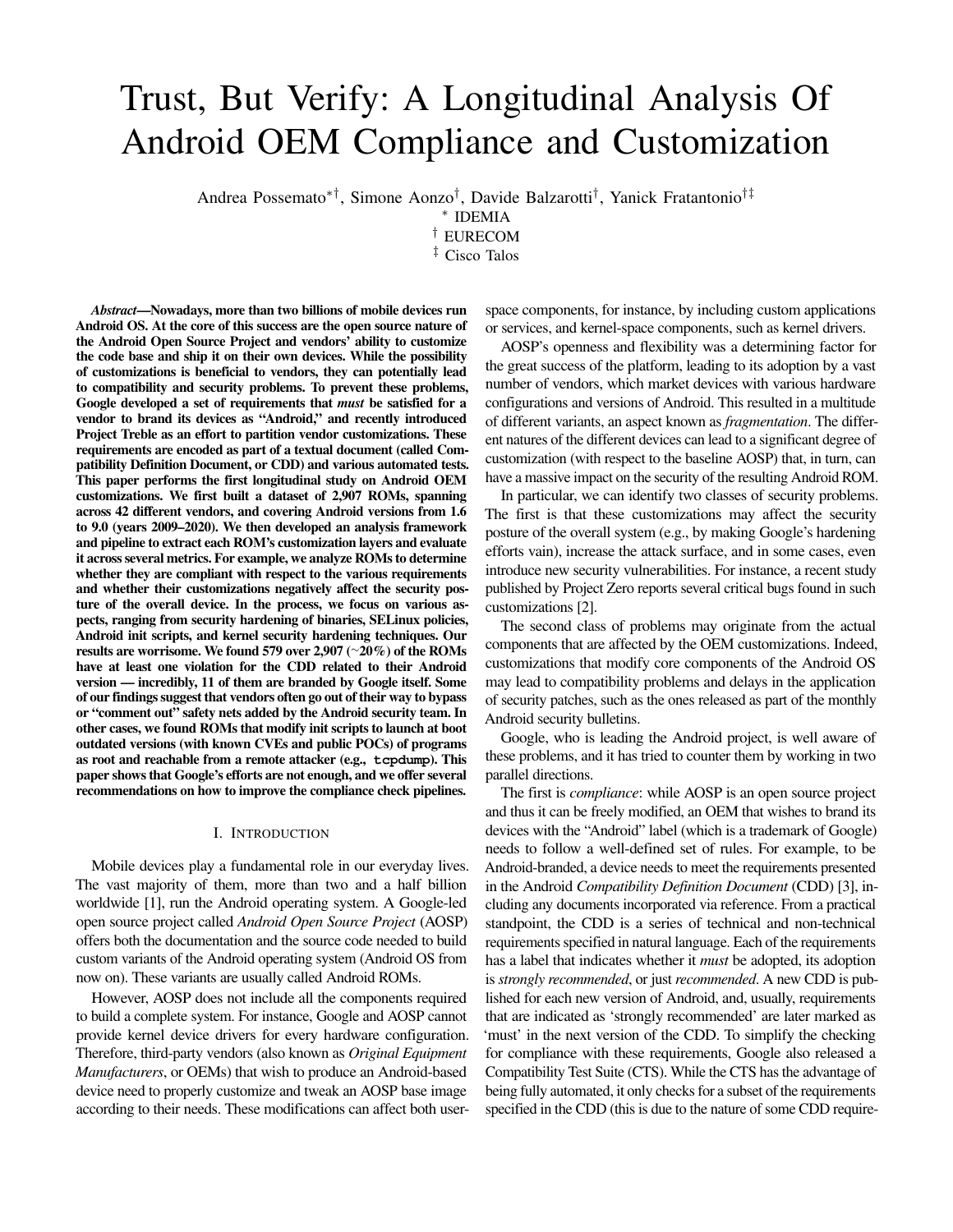# Trust, But Verify: A Longitudinal Analysis Of Android OEM Compliance and Customization

Andrea Possemato∗†, Simone Aonzo† , Davide Balzarotti† , Yanick Fratantonio†‡

∗ IDEMIA

† EURECOM

‡ Cisco Talos

*Abstract*—Nowadays, more than two billions of mobile devices run Android OS. At the core of this success are the open source nature of the Android Open Source Project and vendors' ability to customize the code base and ship it on their own devices. While the possibility of customizations is beneficial to vendors, they can potentially lead to compatibility and security problems. To prevent these problems, Google developed a set of requirements that *must* be satisfied for a vendor to brand its devices as "Android," and recently introduced Project Treble as an effort to partition vendor customizations. These requirements are encoded as part of a textual document (called Compatibility Definition Document, or CDD) and various automated tests. This paper performs the first longitudinal study on Android OEM customizations. We first built a dataset of 2,907 ROMs, spanning across 42 different vendors, and covering Android versions from 1.6 to 9.0 (years 2009–2020). We then developed an analysis framework and pipeline to extract each ROM's customization layers and evaluate it across several metrics. For example, we analyze ROMs to determine whether they are compliant with respect to the various requirements and whether their customizations negatively affect the security posture of the overall device. In the process, we focus on various aspects, ranging from security hardening of binaries, SELinux policies, Android init scripts, and kernel security hardening techniques. Our results are worrisome. We found 579 over 2,907 ([∼](~)20%) of the ROMs have at least one violation for the CDD related to their Android version — incredibly, 11 of them are branded by Google itself. Some of our findings suggest that vendors often go out of their way to bypass or "comment out" safety nets added by the Android security team. In other cases, we found ROMs that modify init scripts to launch at boot outdated versions (with known CVEs and public POCs) of programs as root and reachable from a remote attacker (e.g., **tcpdump**). This paper shows that Google's efforts are not enough, and we offer several recommendations on how to improve the compliance check pipelines.

#### I. INTRODUCTION

Mobile devices play a fundamental role in our everyday lives. The vast majority of them, more than two and a half billion worldwide [\[1\]](#page-13-0), run the Android operating system. A Google-led open source project called *Android Open Source Project* (AOSP) offers both the documentation and the source code needed to build custom variants of the Android operating system (Android OS from now on). These variants are usually called Android ROMs.

However, AOSP does not include all the components required to build a complete system. For instance, Google and AOSP cannot provide kernel device drivers for every hardware configuration. Therefore, third-party vendors (also known as *Original Equipment Manufacturers*, or OEMs) that wish to produce an Android-based device need to properly customize and tweak an AOSP base image according to their needs. These modifications can affect both user-

space components, for instance, by including custom applications or services, and kernel-space components, such as kernel drivers.

AOSP's openness and flexibility was a determining factor for the great success of the platform, leading to its adoption by a vast number of vendors, which market devices with various hardware configurations and versions of Android. This resulted in a multitude of different variants, an aspect known as *fragmentation*. The different natures of the different devices can lead to a significant degree of customization (with respect to the baseline AOSP) that, in turn, can have a massive impact on the security of the resulting Android ROM.

In particular, we can identify two classes of security problems. The first is that these customizations may affect the security posture of the overall system (e.g., by making Google's hardening efforts vain), increase the attack surface, and in some cases, even introduce new security vulnerabilities. For instance, a recent study published by Project Zero reports several critical bugs found in such customizations [\[2\]](#page-13-1).

The second class of problems may originate from the actual components that are affected by the OEM customizations. Indeed, customizations that modify core components of the Android OS may lead to compatibility problems and delays in the application of security patches, such as the ones released as part of the monthly Android security bulletins.

Google, who is leading the Android project, is well aware of these problems, and it has tried to counter them by working in two parallel directions.

The first is *compliance*: while AOSP is an open source project and thus it can be freely modified, an OEM that wishes to brand its devices with the "Android" label (which is a trademark of Google) needs to follow a well-defined set of rules. For example, to be Android-branded, a device needs to meet the requirements presented in the Android *Compatibility Definition Document* (CDD) [\[3\]](#page-13-2), including any documents incorporated via reference. From a practical standpoint, the CDD is a series of technical and non-technical requirements specified in natural language. Each of the requirements has a label that indicates whether it *must* be adopted, its adoption is *strongly recommended*, or just *recommended*. A new CDD is published for each new version of Android, and, usually, requirements that are indicated as 'strongly recommended' are later marked as 'must' in the next version of the CDD. To simplify the checking for compliance with these requirements, Google also released a Compatibility Test Suite (CTS). While the CTS has the advantage of being fully automated, it only checks for a subset of the requirements specified in the CDD (this is due to the nature of some CDD require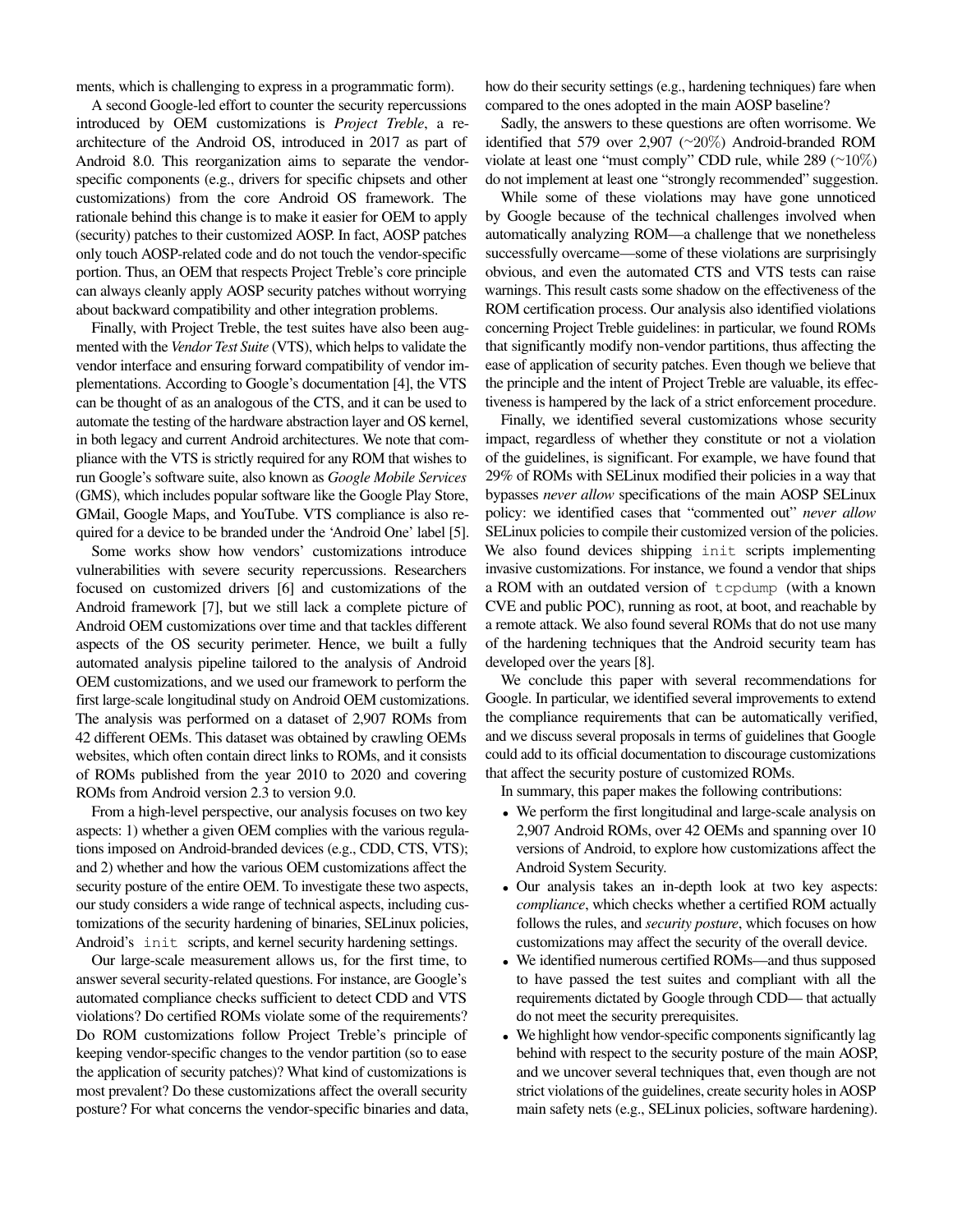ments, which is challenging to express in a programmatic form).

A second Google-led effort to counter the security repercussions introduced by OEM customizations is *Project Treble*, a rearchitecture of the Android OS, introduced in 2017 as part of Android 8.0. This reorganization aims to separate the vendorspecific components (e.g., drivers for specific chipsets and other customizations) from the core Android OS framework. The rationale behind this change is to make it easier for OEM to apply (security) patches to their customized AOSP. In fact, AOSP patches only touch AOSP-related code and do not touch the vendor-specific portion. Thus, an OEM that respects Project Treble's core principle can always cleanly apply AOSP security patches without worrying about backward compatibility and other integration problems.

Finally, with Project Treble, the test suites have also been augmented with the *Vendor Test Suite* (VTS), which helps to validate the vendor interface and ensuring forward compatibility of vendor implementations. According to Google's documentation [\[4\]](#page-13-3), the VTS can be thought of as an analogous of the CTS, and it can be used to automate the testing of the hardware abstraction layer and OS kernel, in both legacy and current Android architectures. We note that compliance with the VTS is strictly required for any ROM that wishes to run Google's software suite, also known as *Google Mobile Services* (GMS), which includes popular software like the Google Play Store, GMail, Google Maps, and YouTube. VTS compliance is also required for a device to be branded under the 'Android One' label [\[5\]](#page-13-4).

Some works show how vendors' customizations introduce vulnerabilities with severe security repercussions. Researchers focused on customized drivers [\[6\]](#page-13-5) and customizations of the Android framework [\[7\]](#page-13-6), but we still lack a complete picture of Android OEM customizations over time and that tackles different aspects of the OS security perimeter. Hence, we built a fully automated analysis pipeline tailored to the analysis of Android OEM customizations, and we used our framework to perform the first large-scale longitudinal study on Android OEM customizations. The analysis was performed on a dataset of 2,907 ROMs from 42 different OEMs. This dataset was obtained by crawling OEMs websites, which often contain direct links to ROMs, and it consists of ROMs published from the year 2010 to 2020 and covering ROMs from Android version 2.3 to version 9.0.

From a high-level perspective, our analysis focuses on two key aspects: 1) whether a given OEM complies with the various regulations imposed on Android-branded devices (e.g., CDD, CTS, VTS); and 2) whether and how the various OEM customizations affect the security posture of the entire OEM. To investigate these two aspects, our study considers a wide range of technical aspects, including customizations of the security hardening of binaries, SELinux policies, Android's init scripts, and kernel security hardening settings.

Our large-scale measurement allows us, for the first time, to answer several security-related questions. For instance, are Google's automated compliance checks sufficient to detect CDD and VTS violations? Do certified ROMs violate some of the requirements? Do ROM customizations follow Project Treble's principle of keeping vendor-specific changes to the vendor partition (so to ease the application of security patches)? What kind of customizations is most prevalent? Do these customizations affect the overall security posture? For what concerns the vendor-specific binaries and data,

how do their security settings (e.g., hardening techniques) fare when compared to the ones adopted in the main AOSP baseline?

Sadly, the answers to these questions are often worrisome. We identified that 579 over 2,907 ([∼](~)20%) Android-branded ROM violate at least one "must comply" CDD rule, while 289 ([∼](~)10%) do not implement at least one "strongly recommended" suggestion.

While some of these violations may have gone unnoticed by Google because of the technical challenges involved when automatically analyzing ROM—a challenge that we nonetheless successfully overcame—some of these violations are surprisingly obvious, and even the automated CTS and VTS tests can raise warnings. This result casts some shadow on the effectiveness of the ROM certification process. Our analysis also identified violations concerning Project Treble guidelines: in particular, we found ROMs that significantly modify non-vendor partitions, thus affecting the ease of application of security patches. Even though we believe that the principle and the intent of Project Treble are valuable, its effectiveness is hampered by the lack of a strict enforcement procedure.

Finally, we identified several customizations whose security impact, regardless of whether they constitute or not a violation of the guidelines, is significant. For example, we have found that 29% of ROMs with SELinux modified their policies in a way that bypasses *never allow* specifications of the main AOSP SELinux policy: we identified cases that "commented out" *never allow* SELinux policies to compile their customized version of the policies. We also found devices shipping init scripts implementing invasive customizations. For instance, we found a vendor that ships a ROM with an outdated version of tcpdump (with a known CVE and public POC), running as root, at boot, and reachable by a remote attack. We also found several ROMs that do not use many of the hardening techniques that the Android security team has developed over the years [\[8\]](#page-13-7).

We conclude this paper with several recommendations for Google. In particular, we identified several improvements to extend the compliance requirements that can be automatically verified, and we discuss several proposals in terms of guidelines that Google could add to its official documentation to discourage customizations that affect the security posture of customized ROMs.

In summary, this paper makes the following contributions:

- We perform the first longitudinal and large-scale analysis on 2,907 Android ROMs, over 42 OEMs and spanning over 10 versions of Android, to explore how customizations affect the Android System Security.
- Our analysis takes an in-depth look at two key aspects: *compliance*, which checks whether a certified ROM actually follows the rules, and *security posture*, which focuses on how customizations may affect the security of the overall device.
- We identified numerous certified ROMs—and thus supposed to have passed the test suites and compliant with all the requirements dictated by Google through CDD— that actually do not meet the security prerequisites.
- We highlight how vendor-specific components significantly lag behind with respect to the security posture of the main AOSP, and we uncover several techniques that, even though are not strict violations of the guidelines, create security holes in AOSP main safety nets (e.g., SELinux policies, software hardening).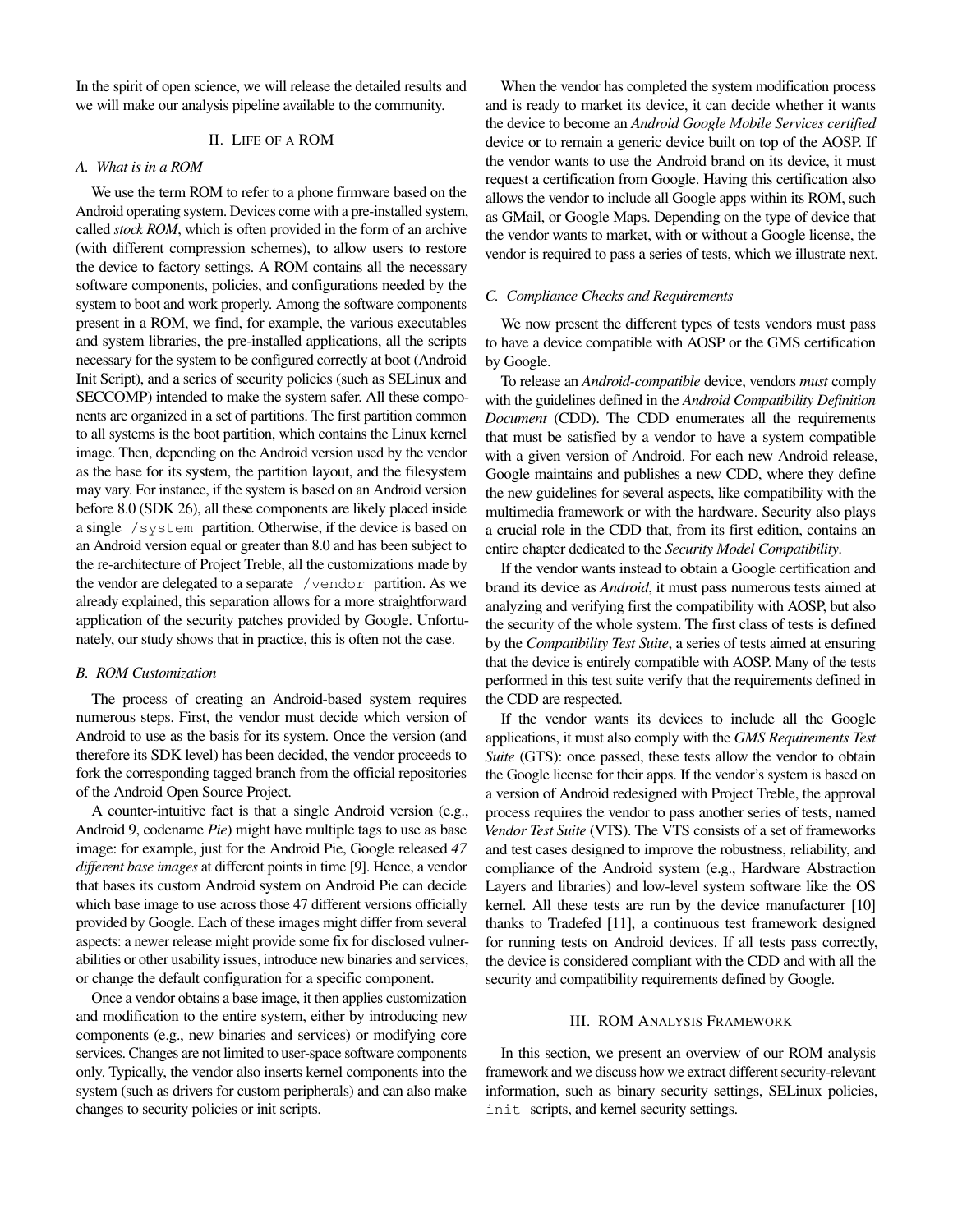In the spirit of open science, we will release the detailed results and we will make our analysis pipeline available to the community.

#### II. LIFE OF A ROM

#### *A. What is in a ROM*

We use the term ROM to refer to a phone firmware based on the Android operating system. Devices come with a pre-installed system, called *stock ROM*, which is often provided in the form of an archive (with different compression schemes), to allow users to restore the device to factory settings. A ROM contains all the necessary software components, policies, and configurations needed by the system to boot and work properly. Among the software components present in a ROM, we find, for example, the various executables and system libraries, the pre-installed applications, all the scripts necessary for the system to be configured correctly at boot (Android Init Script), and a series of security policies (such as SELinux and SECCOMP) intended to make the system safer. All these components are organized in a set of partitions. The first partition common to all systems is the boot partition, which contains the Linux kernel image. Then, depending on the Android version used by the vendor as the base for its system, the partition layout, and the filesystem may vary. For instance, if the system is based on an Android version before 8.0 (SDK 26), all these components are likely placed inside a single /system partition. Otherwise, if the device is based on an Android version equal or greater than 8.0 and has been subject to the re-architecture of Project Treble, all the customizations made by the vendor are delegated to a separate /vendor partition. As we already explained, this separation allows for a more straightforward application of the security patches provided by Google. Unfortunately, our study shows that in practice, this is often not the case.

## *B. ROM Customization*

The process of creating an Android-based system requires numerous steps. First, the vendor must decide which version of Android to use as the basis for its system. Once the version (and therefore its SDK level) has been decided, the vendor proceeds to fork the corresponding tagged branch from the official repositories of the Android Open Source Project.

A counter-intuitive fact is that a single Android version (e.g., Android 9, codename *Pie*) might have multiple tags to use as base image: for example, just for the Android Pie, Google released *47 different base images* at different points in time [\[9\]](#page-13-8). Hence, a vendor that bases its custom Android system on Android Pie can decide which base image to use across those 47 different versions officially provided by Google. Each of these images might differ from several aspects: a newer release might provide some fix for disclosed vulnerabilities or other usability issues, introduce new binaries and services, or change the default configuration for a specific component.

Once a vendor obtains a base image, it then applies customization and modification to the entire system, either by introducing new components (e.g., new binaries and services) or modifying core services. Changes are not limited to user-space software components only. Typically, the vendor also inserts kernel components into the system (such as drivers for custom peripherals) and can also make changes to security policies or init scripts.

When the vendor has completed the system modification process and is ready to market its device, it can decide whether it wants the device to become an *Android Google Mobile Services certified* device or to remain a generic device built on top of the AOSP. If the vendor wants to use the Android brand on its device, it must request a certification from Google. Having this certification also allows the vendor to include all Google apps within its ROM, such as GMail, or Google Maps. Depending on the type of device that the vendor wants to market, with or without a Google license, the vendor is required to pass a series of tests, which we illustrate next.

#### *C. Compliance Checks and Requirements*

We now present the different types of tests vendors must pass to have a device compatible with AOSP or the GMS certification by Google.

To release an *Android-compatible* device, vendors *must* comply with the guidelines defined in the *Android Compatibility Definition Document* (CDD). The CDD enumerates all the requirements that must be satisfied by a vendor to have a system compatible with a given version of Android. For each new Android release, Google maintains and publishes a new CDD, where they define the new guidelines for several aspects, like compatibility with the multimedia framework or with the hardware. Security also plays a crucial role in the CDD that, from its first edition, contains an entire chapter dedicated to the *Security Model Compatibility*.

If the vendor wants instead to obtain a Google certification and brand its device as *Android*, it must pass numerous tests aimed at analyzing and verifying first the compatibility with AOSP, but also the security of the whole system. The first class of tests is defined by the *Compatibility Test Suite*, a series of tests aimed at ensuring that the device is entirely compatible with AOSP. Many of the tests performed in this test suite verify that the requirements defined in the CDD are respected.

If the vendor wants its devices to include all the Google applications, it must also comply with the *GMS Requirements Test Suite* (GTS): once passed, these tests allow the vendor to obtain the Google license for their apps. If the vendor's system is based on a version of Android redesigned with Project Treble, the approval process requires the vendor to pass another series of tests, named *Vendor Test Suite* (VTS). The VTS consists of a set of frameworks and test cases designed to improve the robustness, reliability, and compliance of the Android system (e.g., Hardware Abstraction Layers and libraries) and low-level system software like the OS kernel. All these tests are run by the device manufacturer [\[10\]](#page-13-9) thanks to Tradefed [\[11\]](#page-13-10), a continuous test framework designed for running tests on Android devices. If all tests pass correctly, the device is considered compliant with the CDD and with all the security and compatibility requirements defined by Google.

#### III. ROM ANALYSIS FRAMEWORK

In this section, we present an overview of our ROM analysis framework and we discuss how we extract different security-relevant information, such as binary security settings, SELinux policies, init scripts, and kernel security settings.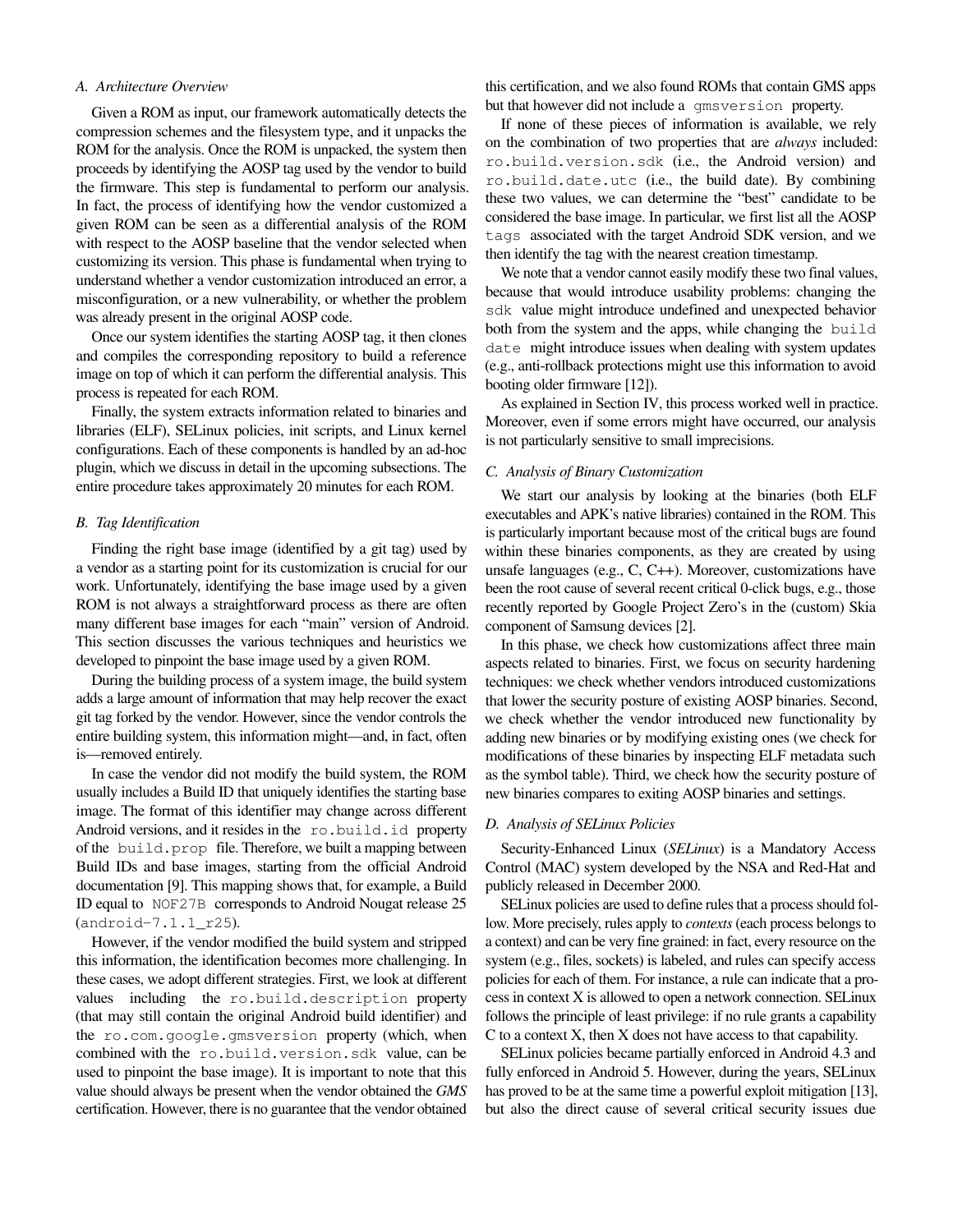## *A. Architecture Overview*

Given a ROM as input, our framework automatically detects the compression schemes and the filesystem type, and it unpacks the ROM for the analysis. Once the ROM is unpacked, the system then proceeds by identifying the AOSP tag used by the vendor to build the firmware. This step is fundamental to perform our analysis. In fact, the process of identifying how the vendor customized a given ROM can be seen as a differential analysis of the ROM with respect to the AOSP baseline that the vendor selected when customizing its version. This phase is fundamental when trying to understand whether a vendor customization introduced an error, a misconfiguration, or a new vulnerability, or whether the problem was already present in the original AOSP code.

Once our system identifies the starting AOSP tag, it then clones and compiles the corresponding repository to build a reference image on top of which it can perform the differential analysis. This process is repeated for each ROM.

Finally, the system extracts information related to binaries and libraries (ELF), SELinux policies, init scripts, and Linux kernel configurations. Each of these components is handled by an ad-hoc plugin, which we discuss in detail in the upcoming subsections. The entire procedure takes approximately 20 minutes for each ROM.

## <span id="page-3-0"></span>*B. Tag Identification*

Finding the right base image (identified by a git tag) used by a vendor as a starting point for its customization is crucial for our work. Unfortunately, identifying the base image used by a given ROM is not always a straightforward process as there are often many different base images for each "main" version of Android. This section discusses the various techniques and heuristics we developed to pinpoint the base image used by a given ROM.

During the building process of a system image, the build system adds a large amount of information that may help recover the exact git tag forked by the vendor. However, since the vendor controls the entire building system, this information might—and, in fact, often is—removed entirely.

In case the vendor did not modify the build system, the ROM usually includes a Build ID that uniquely identifies the starting base image. The format of this identifier may change across different Android versions, and it resides in the ro.build.id property of the build.prop file. Therefore, we built a mapping between Build IDs and base images, starting from the official Android documentation [\[9\]](#page-13-8). This mapping shows that, for example, a Build ID equal to NOF27B corresponds to Android Nougat release 25 (android-7.1.1\_r25).

However, if the vendor modified the build system and stripped this information, the identification becomes more challenging. In these cases, we adopt different strategies. First, we look at different values including the ro.build.description property (that may still contain the original Android build identifier) and the ro.com.google.gmsversion property (which, when combined with the ro.build.version.sdk value, can be used to pinpoint the base image). It is important to note that this value should always be present when the vendor obtained the *GMS* certification. However, there is no guarantee that the vendor obtained

this certification, and we also found ROMs that contain GMS apps but that however did not include a gmsversion property.

If none of these pieces of information is available, we rely on the combination of two properties that are *always* included: ro.build.version.sdk (i.e., the Android version) and ro.build.date.utc (i.e., the build date). By combining these two values, we can determine the "best" candidate to be considered the base image. In particular, we first list all the AOSP tags associated with the target Android SDK version, and we then identify the tag with the nearest creation timestamp.

We note that a vendor cannot easily modify these two final values, because that would introduce usability problems: changing the sdk value might introduce undefined and unexpected behavior both from the system and the apps, while changing the build date might introduce issues when dealing with system updates (e.g., anti-rollback protections might use this information to avoid booting older firmware [\[12\]](#page-13-11)).

As explained in Section [IV,](#page-4-0) this process worked well in practice. Moreover, even if some errors might have occurred, our analysis is not particularly sensitive to small imprecisions.

# *C. Analysis of Binary Customization*

We start our analysis by looking at the binaries (both ELF executables and APK's native libraries) contained in the ROM. This is particularly important because most of the critical bugs are found within these binaries components, as they are created by using unsafe languages (e.g., C, C++). Moreover, customizations have been the root cause of several recent critical 0-click bugs, e.g., those recently reported by Google Project Zero's in the (custom) Skia component of Samsung devices [\[2\]](#page-13-1).

In this phase, we check how customizations affect three main aspects related to binaries. First, we focus on security hardening techniques: we check whether vendors introduced customizations that lower the security posture of existing AOSP binaries. Second, we check whether the vendor introduced new functionality by adding new binaries or by modifying existing ones (we check for modifications of these binaries by inspecting ELF metadata such as the symbol table). Third, we check how the security posture of new binaries compares to exiting AOSP binaries and settings.

#### <span id="page-3-1"></span>*D. Analysis of SELinux Policies*

Security-Enhanced Linux (*SELinux*) is a Mandatory Access Control (MAC) system developed by the NSA and Red-Hat and publicly released in December 2000.

SELinux policies are used to define rules that a process should follow. More precisely, rules apply to *contexts* (each process belongs to a context) and can be very fine grained: in fact, every resource on the system (e.g., files, sockets) is labeled, and rules can specify access policies for each of them. For instance, a rule can indicate that a process in context X is allowed to open a network connection. SELinux follows the principle of least privilege: if no rule grants a capability C to a context X, then X does not have access to that capability.

SELinux policies became partially enforced in Android 4.3 and fully enforced in Android 5. However, during the years, SELinux has proved to be at the same time a powerful exploit mitigation [\[13\]](#page-13-12), but also the direct cause of several critical security issues due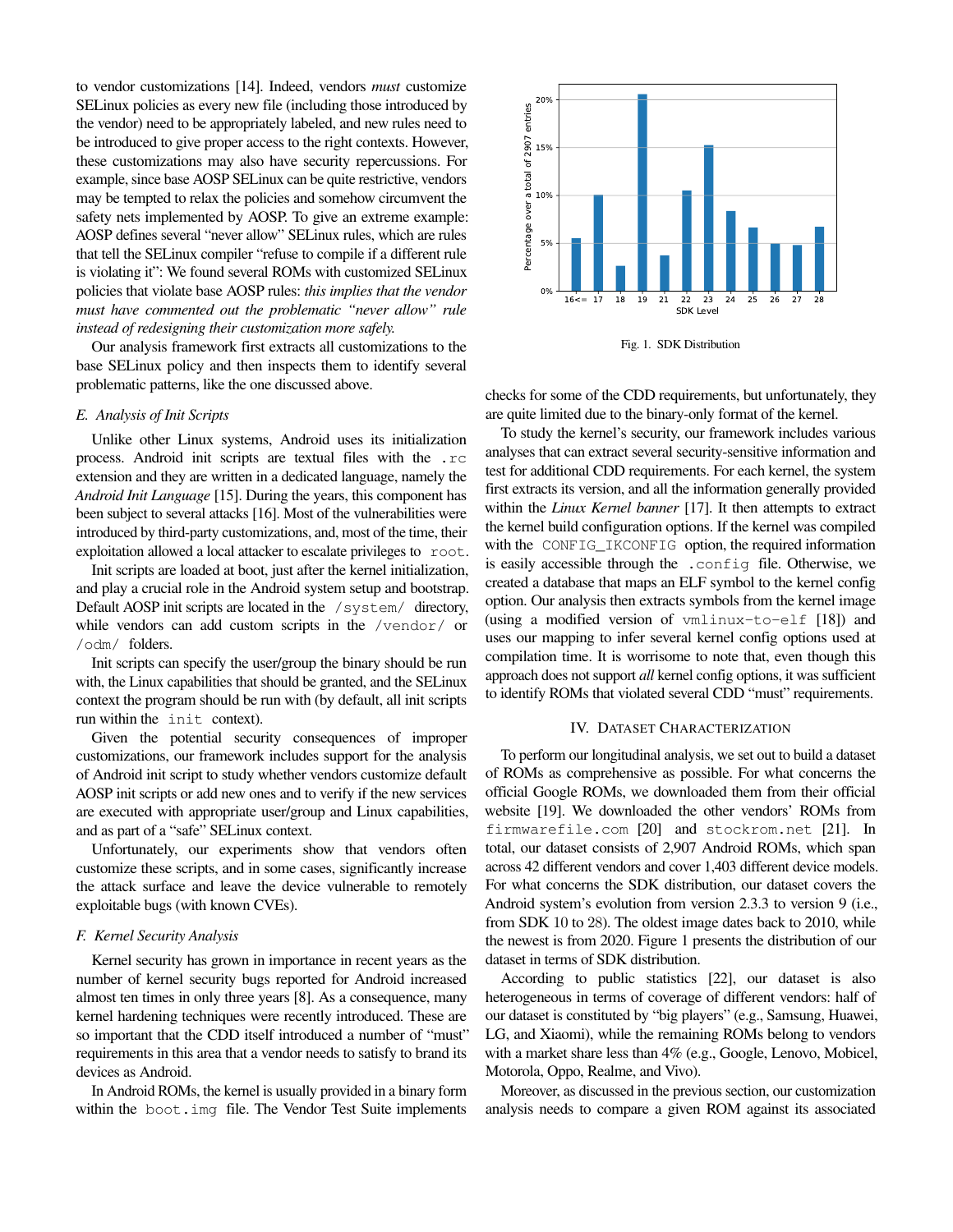to vendor customizations [\[14\]](#page-13-13). Indeed, vendors *must* customize SELinux policies as every new file (including those introduced by the vendor) need to be appropriately labeled, and new rules need to be introduced to give proper access to the right contexts. However, these customizations may also have security repercussions. For example, since base AOSP SELinux can be quite restrictive, vendors may be tempted to relax the policies and somehow circumvent the safety nets implemented by AOSP. To give an extreme example: AOSP defines several "never allow" SELinux rules, which are rules that tell the SELinux compiler "refuse to compile if a different rule is violating it": We found several ROMs with customized SELinux policies that violate base AOSP rules: *this implies that the vendor must have commented out the problematic "never allow" rule instead of redesigning their customization more safely.*

Our analysis framework first extracts all customizations to the base SELinux policy and then inspects them to identify several problematic patterns, like the one discussed above.

#### *E. Analysis of Init Scripts*

Unlike other Linux systems, Android uses its initialization process. Android init scripts are textual files with the .rc extension and they are written in a dedicated language, namely the *Android Init Language* [\[15\]](#page-13-14). During the years, this component has been subject to several attacks [\[16\]](#page-13-15). Most of the vulnerabilities were introduced by third-party customizations, and, most of the time, their exploitation allowed a local attacker to escalate privileges to root.

Init scripts are loaded at boot, just after the kernel initialization, and play a crucial role in the Android system setup and bootstrap. Default AOSP init scripts are located in the /system/ directory, while vendors can add custom scripts in the /vendor/ or /odm/ folders.

Init scripts can specify the user/group the binary should be run with, the Linux capabilities that should be granted, and the SELinux context the program should be run with (by default, all init scripts run within the init context).

Given the potential security consequences of improper customizations, our framework includes support for the analysis of Android init script to study whether vendors customize default AOSP init scripts or add new ones and to verify if the new services are executed with appropriate user/group and Linux capabilities, and as part of a "safe" SELinux context.

Unfortunately, our experiments show that vendors often customize these scripts, and in some cases, significantly increase the attack surface and leave the device vulnerable to remotely exploitable bugs (with known CVEs).

#### <span id="page-4-2"></span>*F. Kernel Security Analysis*

Kernel security has grown in importance in recent years as the number of kernel security bugs reported for Android increased almost ten times in only three years [\[8\]](#page-13-7). As a consequence, many kernel hardening techniques were recently introduced. These are so important that the CDD itself introduced a number of "must" requirements in this area that a vendor needs to satisfy to brand its devices as Android.

In Android ROMs, the kernel is usually provided in a binary form within the boot.img file. The Vendor Test Suite implements



<span id="page-4-1"></span>Fig. 1. SDK Distribution

checks for some of the CDD requirements, but unfortunately, they are quite limited due to the binary-only format of the kernel.

To study the kernel's security, our framework includes various analyses that can extract several security-sensitive information and test for additional CDD requirements. For each kernel, the system first extracts its version, and all the information generally provided within the *Linux Kernel banner* [\[17\]](#page-13-16). It then attempts to extract the kernel build configuration options. If the kernel was compiled with the CONFIG\_IKCONFIG option, the required information is easily accessible through the .config file. Otherwise, we created a database that maps an ELF symbol to the kernel config option. Our analysis then extracts symbols from the kernel image (using a modified version of vmlinux-to-elf [\[18\]](#page-13-17)) and uses our mapping to infer several kernel config options used at compilation time. It is worrisome to note that, even though this approach does not support *all* kernel config options, it was sufficient to identify ROMs that violated several CDD "must" requirements.

#### IV. DATASET CHARACTERIZATION

<span id="page-4-0"></span>To perform our longitudinal analysis, we set out to build a dataset of ROMs as comprehensive as possible. For what concerns the official Google ROMs, we downloaded them from their official website [\[19\]](#page-13-18). We downloaded the other vendors' ROMs from firmwarefile.com [\[20\]](#page-13-19) and stockrom.net [\[21\]](#page-13-20). In total, our dataset consists of 2,907 Android ROMs, which span across 42 different vendors and cover 1,403 different device models. For what concerns the SDK distribution, our dataset covers the Android system's evolution from version 2.3.3 to version 9 (i.e., from SDK 10 to 28). The oldest image dates back to 2010, while the newest is from 2020. Figure [1](#page-4-1) presents the distribution of our dataset in terms of SDK distribution.

According to public statistics [\[22\]](#page-13-21), our dataset is also heterogeneous in terms of coverage of different vendors: half of our dataset is constituted by "big players" (e.g., Samsung, Huawei, LG, and Xiaomi), while the remaining ROMs belong to vendors with a market share less than 4% (e.g., Google, Lenovo, Mobicel, Motorola, Oppo, Realme, and Vivo).

Moreover, as discussed in the previous section, our customization analysis needs to compare a given ROM against its associated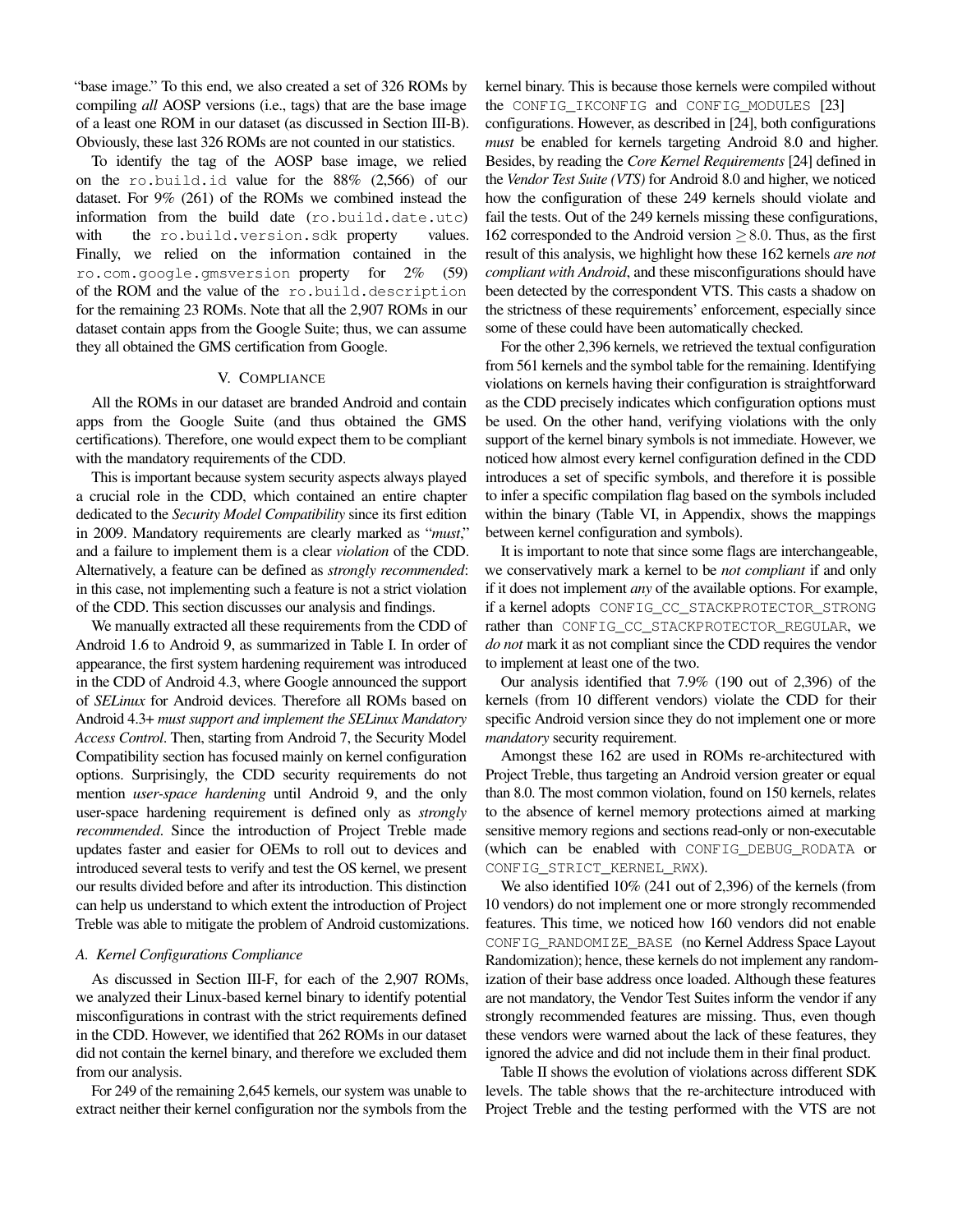"base image." To this end, we also created a set of 326 ROMs by compiling *all* AOSP versions (i.e., tags) that are the base image of a least one ROM in our dataset (as discussed in Section [III-B\)](#page-3-0). Obviously, these last 326 ROMs are not counted in our statistics.

To identify the tag of the AOSP base image, we relied on the ro.build.id value for the 88% (2,566) of our dataset. For 9% (261) of the ROMs we combined instead the information from the build date (ro.build.date.utc) with the ro.build.version.sdk property values. Finally, we relied on the information contained in the ro.com.google.gmsversion property for 2% (59) of the ROM and the value of the ro.build.description for the remaining 23 ROMs. Note that all the 2,907 ROMs in our dataset contain apps from the Google Suite; thus, we can assume they all obtained the GMS certification from Google.

# V. COMPLIANCE

All the ROMs in our dataset are branded Android and contain apps from the Google Suite (and thus obtained the GMS certifications). Therefore, one would expect them to be compliant with the mandatory requirements of the CDD.

This is important because system security aspects always played a crucial role in the CDD, which contained an entire chapter dedicated to the *Security Model Compatibility* since its first edition in 2009. Mandatory requirements are clearly marked as "*must*," and a failure to implement them is a clear *violation* of the CDD. Alternatively, a feature can be defined as *strongly recommended*: in this case, not implementing such a feature is not a strict violation of the CDD. This section discusses our analysis and findings.

We manually extracted all these requirements from the CDD of Android 1.6 to Android 9, as summarized in Table [I.](#page-6-0) In order of appearance, the first system hardening requirement was introduced in the CDD of Android 4.3, where Google announced the support of *SELinux* for Android devices. Therefore all ROMs based on Android 4.3+ *must support and implement the SELinux Mandatory Access Control*. Then, starting from Android 7, the Security Model Compatibility section has focused mainly on kernel configuration options. Surprisingly, the CDD security requirements do not mention *user-space hardening* until Android 9, and the only user-space hardening requirement is defined only as *strongly recommended*. Since the introduction of Project Treble made updates faster and easier for OEMs to roll out to devices and introduced several tests to verify and test the OS kernel, we present our results divided before and after its introduction. This distinction can help us understand to which extent the introduction of Project Treble was able to mitigate the problem of Android customizations.

#### <span id="page-5-0"></span>*A. Kernel Configurations Compliance*

As discussed in Section [III-F,](#page-4-2) for each of the 2,907 ROMs, we analyzed their Linux-based kernel binary to identify potential misconfigurations in contrast with the strict requirements defined in the CDD. However, we identified that 262 ROMs in our dataset did not contain the kernel binary, and therefore we excluded them from our analysis.

For 249 of the remaining 2,645 kernels, our system was unable to extract neither their kernel configuration nor the symbols from the

kernel binary. This is because those kernels were compiled without the CONFIG\_IKCONFIG and CONFIG\_MODULES [\[23\]](#page-13-22) configurations. However, as described in [\[24\]](#page-13-23), both configurations *must* be enabled for kernels targeting Android 8.0 and higher. Besides, by reading the *Core Kernel Requirements* [\[24\]](#page-13-23) defined in the *Vendor Test Suite (VTS)* for Android 8.0 and higher, we noticed how the configuration of these 249 kernels should violate and fail the tests. Out of the 249 kernels missing these configurations, 162 corresponded to the Android version  $\geq$  8.0. Thus, as the first result of this analysis, we highlight how these 162 kernels *are not compliant with Android*, and these misconfigurations should have been detected by the correspondent VTS. This casts a shadow on the strictness of these requirements' enforcement, especially since some of these could have been automatically checked.

For the other 2,396 kernels, we retrieved the textual configuration from 561 kernels and the symbol table for the remaining. Identifying violations on kernels having their configuration is straightforward as the CDD precisely indicates which configuration options must be used. On the other hand, verifying violations with the only support of the kernel binary symbols is not immediate. However, we noticed how almost every kernel configuration defined in the CDD introduces a set of specific symbols, and therefore it is possible to infer a specific compilation flag based on the symbols included within the binary (Table [VI,](#page-15-0) in Appendix, shows the mappings between kernel configuration and symbols).

It is important to note that since some flags are interchangeable, we conservatively mark a kernel to be *not compliant* if and only if it does not implement *any* of the available options. For example, if a kernel adopts CONFIG\_CC\_STACKPROTECTOR\_STRONG rather than CONFIG\_CC\_STACKPROTECTOR\_REGULAR, we *do not* mark it as not compliant since the CDD requires the vendor to implement at least one of the two.

Our analysis identified that 7.9% (190 out of 2,396) of the kernels (from 10 different vendors) violate the CDD for their specific Android version since they do not implement one or more *mandatory* security requirement.

Amongst these 162 are used in ROMs re-architectured with Project Treble, thus targeting an Android version greater or equal than 8.0. The most common violation, found on 150 kernels, relates to the absence of kernel memory protections aimed at marking sensitive memory regions and sections read-only or non-executable (which can be enabled with CONFIG\_DEBUG\_RODATA or CONFIG\_STRICT\_KERNEL\_RWX).

We also identified 10% (241 out of 2,396) of the kernels (from 10 vendors) do not implement one or more strongly recommended features. This time, we noticed how 160 vendors did not enable CONFIG\_RANDOMIZE\_BASE (no Kernel Address Space Layout Randomization); hence, these kernels do not implement any randomization of their base address once loaded. Although these features are not mandatory, the Vendor Test Suites inform the vendor if any strongly recommended features are missing. Thus, even though these vendors were warned about the lack of these features, they ignored the advice and did not include them in their final product.

Table [II](#page-6-1) shows the evolution of violations across different SDK levels. The table shows that the re-architecture introduced with Project Treble and the testing performed with the VTS are not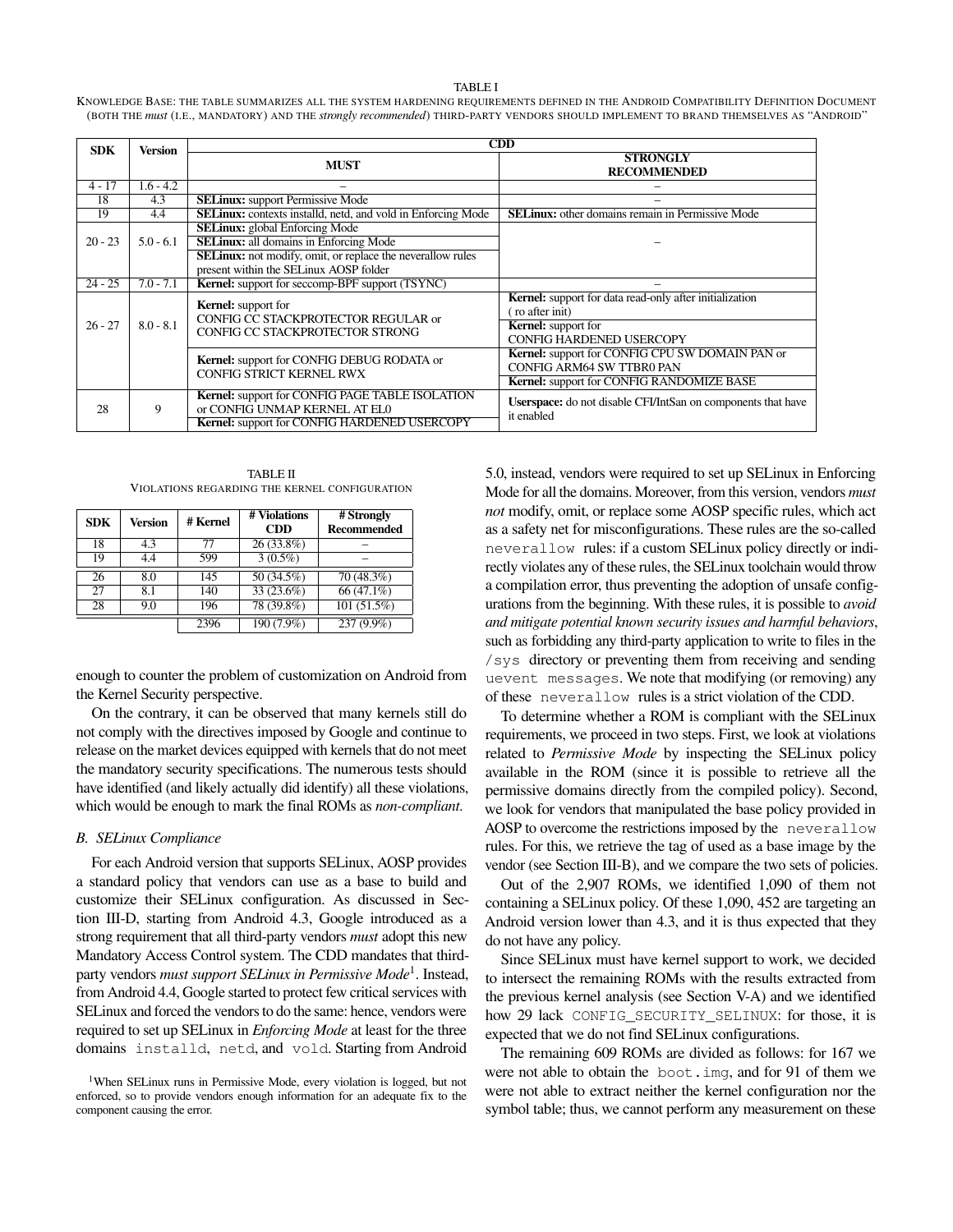#### TABLE I

<span id="page-6-0"></span>KNOWLEDGE BASE: THE TABLE SUMMARIZES ALL THE SYSTEM HARDENING REQUIREMENTS DEFINED IN THE ANDROID COMPATIBILITY DEFINITION DOCUMENT (BOTH THE *must* (I.E., MANDATORY) AND THE *strongly recommended*) THIRD-PARTY VENDORS SHOULD IMPLEMENT TO BRAND THEMSELVES AS "ANDROID"

| <b>SDK</b> | <b>Version</b> | CDD                                                                                                                                                                                                   |                                                                                                                                                   |  |  |
|------------|----------------|-------------------------------------------------------------------------------------------------------------------------------------------------------------------------------------------------------|---------------------------------------------------------------------------------------------------------------------------------------------------|--|--|
|            |                | <b>MUST</b>                                                                                                                                                                                           | <b>STRONGLY</b><br><b>RECOMMENDED</b>                                                                                                             |  |  |
| $4 - 17$   | $1.6 - 4.2$    |                                                                                                                                                                                                       |                                                                                                                                                   |  |  |
| 18         | 4.3            | <b>SELinux:</b> support Permissive Mode                                                                                                                                                               |                                                                                                                                                   |  |  |
| 19         | 4.4            | <b>SELinux:</b> contexts installd, netd, and vold in Enforcing Mode                                                                                                                                   | <b>SELinux:</b> other domains remain in Permissive Mode                                                                                           |  |  |
| $20 - 23$  | $5.0 - 6.1$    | <b>SELinux:</b> global Enforcing Mode<br><b>SELinux:</b> all domains in Enforcing Mode<br><b>SELinux:</b> not modify, omit, or replace the neverallow rules<br>present within the SELinux AOSP folder |                                                                                                                                                   |  |  |
| $24 - 25$  | $7.0 - 7.1$    | <b>Kernel:</b> support for seccomp-BPF support (TSYNC)                                                                                                                                                |                                                                                                                                                   |  |  |
| $26 - 27$  | $8.0 - 8.1$    | <b>Kernel:</b> support for<br>CONFIG CC STACKPROTECTOR REGULAR or<br>CONFIG CC STACKPROTECTOR STRONG                                                                                                  | <b>Kernel:</b> support for data read-only after initialization<br>ro after init)<br><b>Kernel:</b> support for<br><b>CONFIG HARDENED USERCOPY</b> |  |  |
|            |                | Kernel: support for CONFIG DEBUG RODATA or<br><b>CONFIG STRICT KERNEL RWX</b>                                                                                                                         | <b>Kernel:</b> support for CONFIG CPU SW DOMAIN PAN or<br>CONFIG ARM64 SW TTBR0 PAN<br><b>Kernel:</b> support for CONFIG RANDOMIZE BASE           |  |  |
| 28         | 9              | <b>Kernel:</b> support for CONFIG PAGE TABLE ISOLATION<br>or CONFIG UNMAP KERNEL AT ELO<br><b>Kernel:</b> support for CONFIG HARDENED USERCOPY                                                        | <b>Userspace:</b> do not disable CFI/IntSan on components that have<br>it enabled                                                                 |  |  |

TABLE II VIOLATIONS REGARDING THE KERNEL CONFIGURATION

<span id="page-6-1"></span>

| <b>SDK</b> | Version | # Kernel | # Violations<br><b>CDD</b> | # Strongly<br><b>Recommended</b> |
|------------|---------|----------|----------------------------|----------------------------------|
| 18         | 4.3     | 77       | $26(33.8\%)$               |                                  |
| 19         | 4.4     | 599      | $3(0.5\%)$                 |                                  |
| 26         | 8.0     | 145      | 50 (34.5%)                 | 70(48.3%)                        |
| 27         | 8.1     | 140      | 33 (23.6%)                 | 66 (47.1%)                       |
| 28         | 9.0     | 196      | 78 (39.8%)                 | 101 (51.5%)                      |
|            |         | 2396     | 190 (7.9%)                 | 237 (9.9%)                       |

enough to counter the problem of customization on Android from the Kernel Security perspective.

On the contrary, it can be observed that many kernels still do not comply with the directives imposed by Google and continue to release on the market devices equipped with kernels that do not meet the mandatory security specifications. The numerous tests should have identified (and likely actually did identify) all these violations, which would be enough to mark the final ROMs as *non-compliant*.

#### <span id="page-6-3"></span>*B. SELinux Compliance*

For each Android version that supports SELinux, AOSP provides a standard policy that vendors can use as a base to build and customize their SELinux configuration. As discussed in Section [III-D,](#page-3-1) starting from Android 4.3, Google introduced as a strong requirement that all third-party vendors *must* adopt this new Mandatory Access Control system. The CDD mandates that thirdparty vendors *must support SELinux in Permissive Mode*[1](#page-6-2) . Instead, from Android 4.4, Google started to protect few critical services with SELinux and forced the vendors to do the same: hence, vendors were required to set up SELinux in *Enforcing Mode* at least for the three domains installd, netd, and vold. Starting from Android

5.0, instead, vendors were required to set up SELinux in Enforcing Mode for all the domains. Moreover, from this version, vendors *must not* modify, omit, or replace some AOSP specific rules, which act as a safety net for misconfigurations. These rules are the so-called neverallow rules: if a custom SELinux policy directly or indirectly violates any of these rules, the SELinux toolchain would throw a compilation error, thus preventing the adoption of unsafe configurations from the beginning. With these rules, it is possible to *avoid and mitigate potential known security issues and harmful behaviors*, such as forbidding any third-party application to write to files in the /sys directory or preventing them from receiving and sending uevent messages. We note that modifying (or removing) any of these neverallow rules is a strict violation of the CDD.

To determine whether a ROM is compliant with the SELinux requirements, we proceed in two steps. First, we look at violations related to *Permissive Mode* by inspecting the SELinux policy available in the ROM (since it is possible to retrieve all the permissive domains directly from the compiled policy). Second, we look for vendors that manipulated the base policy provided in AOSP to overcome the restrictions imposed by the neverallow rules. For this, we retrieve the tag of used as a base image by the vendor (see Section [III-B\)](#page-3-0), and we compare the two sets of policies.

Out of the 2,907 ROMs, we identified 1,090 of them not containing a SELinux policy. Of these 1,090, 452 are targeting an Android version lower than 4.3, and it is thus expected that they do not have any policy.

Since SELinux must have kernel support to work, we decided to intersect the remaining ROMs with the results extracted from the previous kernel analysis (see Section [V-A\)](#page-5-0) and we identified how 29 lack CONFIG\_SECURITY\_SELINUX: for those, it is expected that we do not find SELinux configurations.

The remaining 609 ROMs are divided as follows: for 167 we were not able to obtain the boot.img, and for 91 of them we were not able to extract neither the kernel configuration nor the symbol table; thus, we cannot perform any measurement on these

<span id="page-6-2"></span><sup>&</sup>lt;sup>1</sup>When SELinux runs in Permissive Mode, every violation is logged, but not enforced, so to provide vendors enough information for an adequate fix to the component causing the error.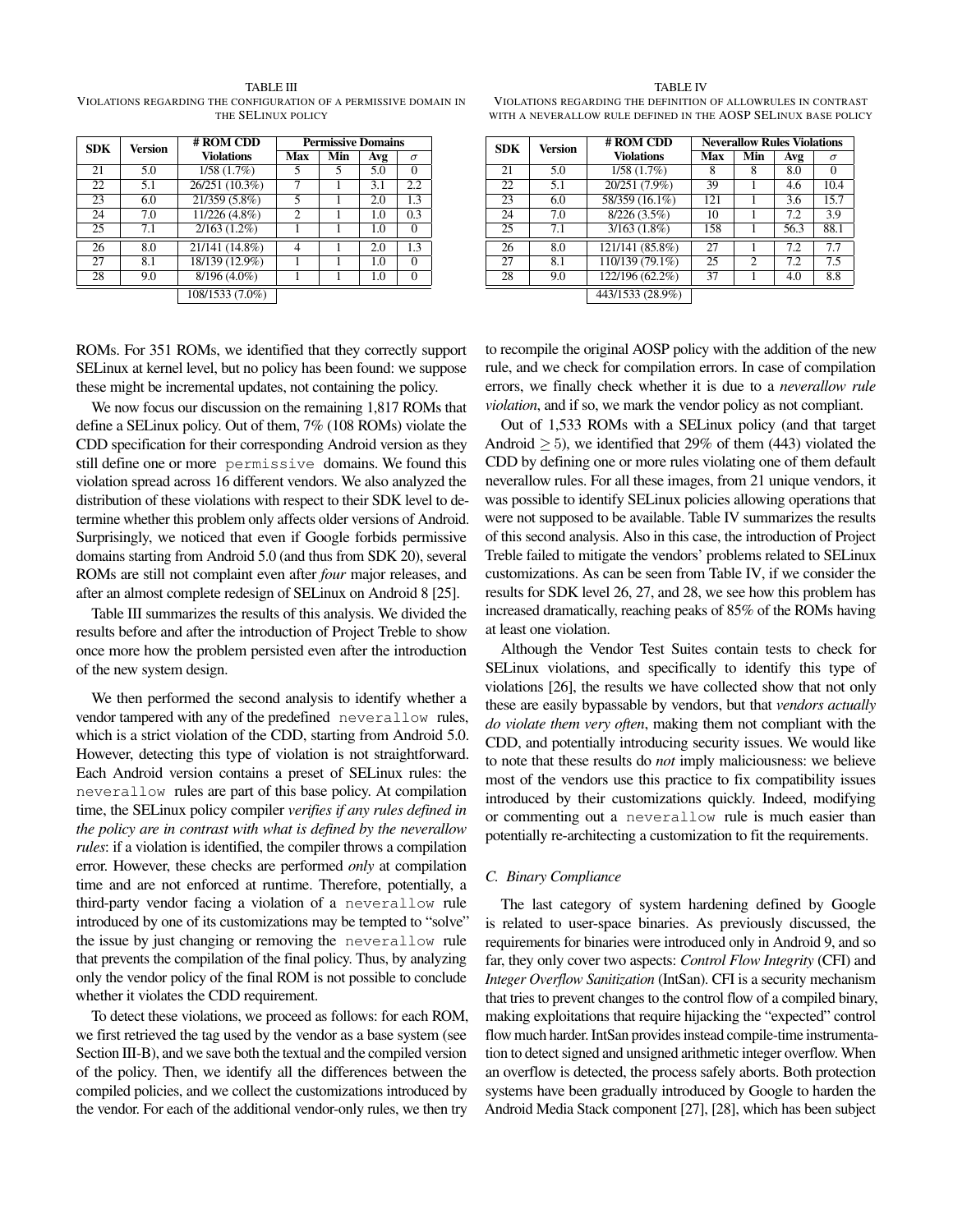<span id="page-7-0"></span>TABLE III VIOLATIONS REGARDING THE CONFIGURATION OF A PERMISSIVE DOMAIN IN THE SELINUX POLICY

| <b>SDK</b> | Version | # ROM CDD<br><b>Permissive Domains</b> |                |     |     |          |
|------------|---------|----------------------------------------|----------------|-----|-----|----------|
|            |         | <b>Violations</b>                      | Max            | Min | Avg | $\sigma$ |
| 21         | 5.0     | 1/58(1.7%)                             | 5              |     | 5.0 | $\Omega$ |
| 22         | 5.1     | 26/251 (10.3%)                         |                |     | 3.1 | 2.2      |
| 23         | 6.0     | 21/359 (5.8%)                          | 5              |     | 2.0 | 1.3      |
| 24         | 7.0     | 11/226 (4.8%)                          | $\overline{c}$ |     | 1.0 | 0.3      |
| 25         | 7.1     | $2/163(1.2\%)$                         |                |     | 1.0 | 0        |
| 26         | 8.0     | 21/141 (14.8%)                         |                |     | 2.0 | 1.3      |
| 27         | 8.1     | 18/139 (12.9%)                         |                |     | 1.0 | $\Omega$ |
| 28         | 9.0     | $8/196(4.0\%)$                         |                |     | 1.0 | $\Omega$ |
|            |         | $\overline{108/1533}$ (7.0%)           |                |     |     |          |

ROMs. For 351 ROMs, we identified that they correctly support SELinux at kernel level, but no policy has been found: we suppose these might be incremental updates, not containing the policy.

We now focus our discussion on the remaining 1,817 ROMs that define a SELinux policy. Out of them, 7% (108 ROMs) violate the CDD specification for their corresponding Android version as they still define one or more permissive domains. We found this violation spread across 16 different vendors. We also analyzed the distribution of these violations with respect to their SDK level to determine whether this problem only affects older versions of Android. Surprisingly, we noticed that even if Google forbids permissive domains starting from Android 5.0 (and thus from SDK 20), several ROMs are still not complaint even after *four* major releases, and after an almost complete redesign of SELinux on Android 8 [\[25\]](#page-13-24).

Table [III](#page-7-0) summarizes the results of this analysis. We divided the results before and after the introduction of Project Treble to show once more how the problem persisted even after the introduction of the new system design.

We then performed the second analysis to identify whether a vendor tampered with any of the predefined neverallow rules, which is a strict violation of the CDD, starting from Android 5.0. However, detecting this type of violation is not straightforward. Each Android version contains a preset of SELinux rules: the neverallow rules are part of this base policy. At compilation time, the SELinux policy compiler *verifies if any rules defined in the policy are in contrast with what is defined by the neverallow rules*: if a violation is identified, the compiler throws a compilation error. However, these checks are performed *only* at compilation time and are not enforced at runtime. Therefore, potentially, a third-party vendor facing a violation of a neverallow rule introduced by one of its customizations may be tempted to "solve" the issue by just changing or removing the neverallow rule that prevents the compilation of the final policy. Thus, by analyzing only the vendor policy of the final ROM is not possible to conclude whether it violates the CDD requirement.

To detect these violations, we proceed as follows: for each ROM, we first retrieved the tag used by the vendor as a base system (see Section [III-B\)](#page-3-0), and we save both the textual and the compiled version of the policy. Then, we identify all the differences between the compiled policies, and we collect the customizations introduced by the vendor. For each of the additional vendor-only rules, we then try

#### TABLE IV

<span id="page-7-1"></span>VIOLATIONS REGARDING THE DEFINITION OF ALLOWRULES IN CONTRAST WITH A NEVERALLOW RULE DEFINED IN THE AOSP SELINUX BASE POLICY

| <b>SDK</b> | Version | # ROM CDD<br><b>Neverallow Rules Violations</b> |     |                             |      |          |
|------------|---------|-------------------------------------------------|-----|-----------------------------|------|----------|
|            |         | <b>Violations</b>                               | Max | Min                         | Avg  | $\sigma$ |
| 21         | 5.0     | 1/58(1.7%)                                      | 8   | 8                           | 8.0  | 0        |
| 22         | 5.1     | 20/251 (7.9%)                                   | 39  |                             | 4.6  | 10.4     |
| 23         | 6.0     | 58/359 (16.1%)                                  | 121 |                             | 3.6  | 15.7     |
| 24         | 7.0     | $8/226(3.5\%)$                                  | 10  |                             | 7.2  | 3.9      |
| 25         | 7.1     | 3/163(1.8%)                                     | 158 |                             | 56.3 | 88.1     |
| 26         | 8.0     | 121/141 (85.8%)                                 | 27  |                             | 7.2  | 7.7      |
| 27         | 8.1     | 110/139 (79.1%)                                 | 25  | $\mathcal{D}_{\mathcal{L}}$ | 7.2  | 7.5      |
| 28         | 9.0     | 122/196 (62.2%)                                 | 37  |                             | 4.0  | 8.8      |
|            |         | 443/1533 (28.9%)                                |     |                             |      |          |

to recompile the original AOSP policy with the addition of the new rule, and we check for compilation errors. In case of compilation errors, we finally check whether it is due to a *neverallow rule violation*, and if so, we mark the vendor policy as not compliant.

Out of 1,533 ROMs with a SELinux policy (and that target Android  $\geq$  5), we identified that 29% of them (443) violated the CDD by defining one or more rules violating one of them default neverallow rules. For all these images, from 21 unique vendors, it was possible to identify SELinux policies allowing operations that were not supposed to be available. Table [IV](#page-7-1) summarizes the results of this second analysis. Also in this case, the introduction of Project Treble failed to mitigate the vendors' problems related to SELinux customizations. As can be seen from Table [IV,](#page-7-1) if we consider the results for SDK level 26, 27, and 28, we see how this problem has increased dramatically, reaching peaks of 85% of the ROMs having at least one violation.

Although the Vendor Test Suites contain tests to check for SELinux violations, and specifically to identify this type of violations [\[26\]](#page-13-25), the results we have collected show that not only these are easily bypassable by vendors, but that *vendors actually do violate them very often*, making them not compliant with the CDD, and potentially introducing security issues. We would like to note that these results do *not* imply maliciousness: we believe most of the vendors use this practice to fix compatibility issues introduced by their customizations quickly. Indeed, modifying or commenting out a neverallow rule is much easier than potentially re-architecting a customization to fit the requirements.

#### *C. Binary Compliance*

The last category of system hardening defined by Google is related to user-space binaries. As previously discussed, the requirements for binaries were introduced only in Android 9, and so far, they only cover two aspects: *Control Flow Integrity* (CFI) and *Integer Overflow Sanitization* (IntSan). CFI is a security mechanism that tries to prevent changes to the control flow of a compiled binary, making exploitations that require hijacking the "expected" control flow much harder. IntSan provides instead compile-time instrumentation to detect signed and unsigned arithmetic integer overflow. When an overflow is detected, the process safely aborts. Both protection systems have been gradually introduced by Google to harden the Android Media Stack component [\[27\]](#page-13-26), [\[28\]](#page-13-27), which has been subject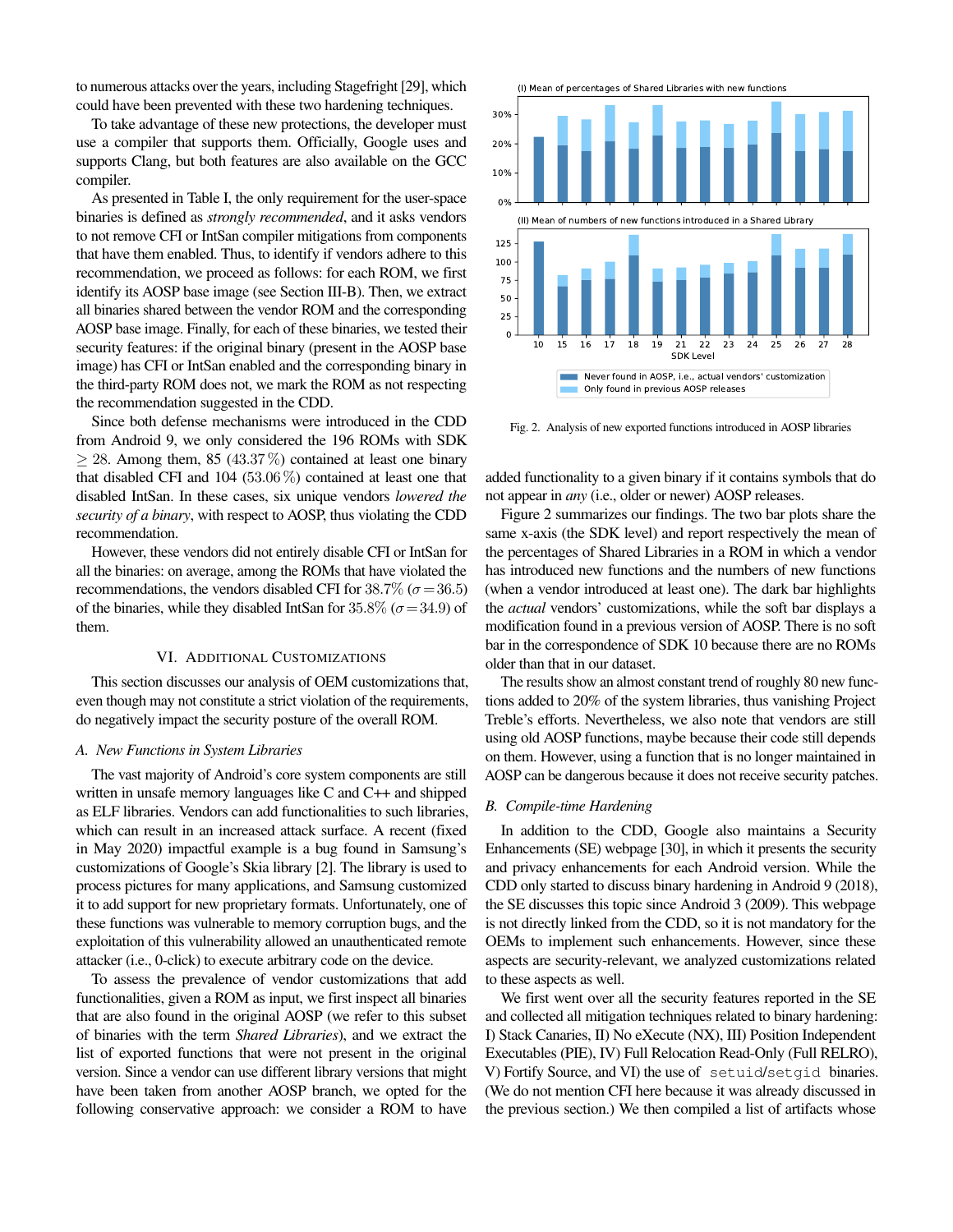to numerous attacks over the years, including Stagefright [\[29\]](#page-13-28), which could have been prevented with these two hardening techniques.

To take advantage of these new protections, the developer must use a compiler that supports them. Officially, Google uses and supports Clang, but both features are also available on the GCC compiler.

As presented in Table [I,](#page-6-0) the only requirement for the user-space binaries is defined as *strongly recommended*, and it asks vendors to not remove CFI or IntSan compiler mitigations from components that have them enabled. Thus, to identify if vendors adhere to this recommendation, we proceed as follows: for each ROM, we first identify its AOSP base image (see Section [III-B\)](#page-3-0). Then, we extract all binaries shared between the vendor ROM and the corresponding AOSP base image. Finally, for each of these binaries, we tested their security features: if the original binary (present in the AOSP base image) has CFI or IntSan enabled and the corresponding binary in the third-party ROM does not, we mark the ROM as not respecting the recommendation suggested in the CDD.

Since both defense mechanisms were introduced in the CDD from Android 9, we only considered the 196 ROMs with SDK  $> 28$ . Among them, 85 (43.37%) contained at least one binary that disabled CFI and 104 (53.06 %) contained at least one that disabled IntSan. In these cases, six unique vendors *lowered the security of a binary*, with respect to AOSP, thus violating the CDD recommendation.

However, these vendors did not entirely disable CFI or IntSan for all the binaries: on average, among the ROMs that have violated the recommendations, the vendors disabled CFI for 38.7% ( $\sigma$  = 36.5) of the binaries, while they disabled IntSan for 35.8% ( $\sigma$  = 34.9) of them.

#### VI. ADDITIONAL CUSTOMIZATIONS

This section discusses our analysis of OEM customizations that, even though may not constitute a strict violation of the requirements, do negatively impact the security posture of the overall ROM.

#### *A. New Functions in System Libraries*

The vast majority of Android's core system components are still written in unsafe memory languages like C and C++ and shipped as ELF libraries. Vendors can add functionalities to such libraries, which can result in an increased attack surface. A recent (fixed in May 2020) impactful example is a bug found in Samsung's customizations of Google's Skia library [\[2\]](#page-13-1). The library is used to process pictures for many applications, and Samsung customized it to add support for new proprietary formats. Unfortunately, one of these functions was vulnerable to memory corruption bugs, and the exploitation of this vulnerability allowed an unauthenticated remote attacker (i.e., 0-click) to execute arbitrary code on the device.

To assess the prevalence of vendor customizations that add functionalities, given a ROM as input, we first inspect all binaries that are also found in the original AOSP (we refer to this subset of binaries with the term *Shared Libraries*), and we extract the list of exported functions that were not present in the original version. Since a vendor can use different library versions that might have been taken from another AOSP branch, we opted for the following conservative approach: we consider a ROM to have



<span id="page-8-0"></span>Fig. 2. Analysis of new exported functions introduced in AOSP libraries

added functionality to a given binary if it contains symbols that do not appear in *any* (i.e., older or newer) AOSP releases.

Figure [2](#page-8-0) summarizes our findings. The two bar plots share the same x-axis (the SDK level) and report respectively the mean of the percentages of Shared Libraries in a ROM in which a vendor has introduced new functions and the numbers of new functions (when a vendor introduced at least one). The dark bar highlights the *actual* vendors' customizations, while the soft bar displays a modification found in a previous version of AOSP. There is no soft bar in the correspondence of SDK 10 because there are no ROMs older than that in our dataset.

The results show an almost constant trend of roughly 80 new functions added to 20% of the system libraries, thus vanishing Project Treble's efforts. Nevertheless, we also note that vendors are still using old AOSP functions, maybe because their code still depends on them. However, using a function that is no longer maintained in AOSP can be dangerous because it does not receive security patches.

## <span id="page-8-1"></span>*B. Compile-time Hardening*

In addition to the CDD, Google also maintains a Security Enhancements (SE) webpage [\[30\]](#page-13-29), in which it presents the security and privacy enhancements for each Android version. While the CDD only started to discuss binary hardening in Android 9 (2018), the SE discusses this topic since Android 3 (2009). This webpage is not directly linked from the CDD, so it is not mandatory for the OEMs to implement such enhancements. However, since these aspects are security-relevant, we analyzed customizations related to these aspects as well.

We first went over all the security features reported in the SE and collected all mitigation techniques related to binary hardening: I) Stack Canaries, II) No eXecute (NX), III) Position Independent Executables (PIE), IV) Full Relocation Read-Only (Full RELRO), V) Fortify Source, and VI) the use of setuid/setgid binaries. (We do not mention CFI here because it was already discussed in the previous section.) We then compiled a list of artifacts whose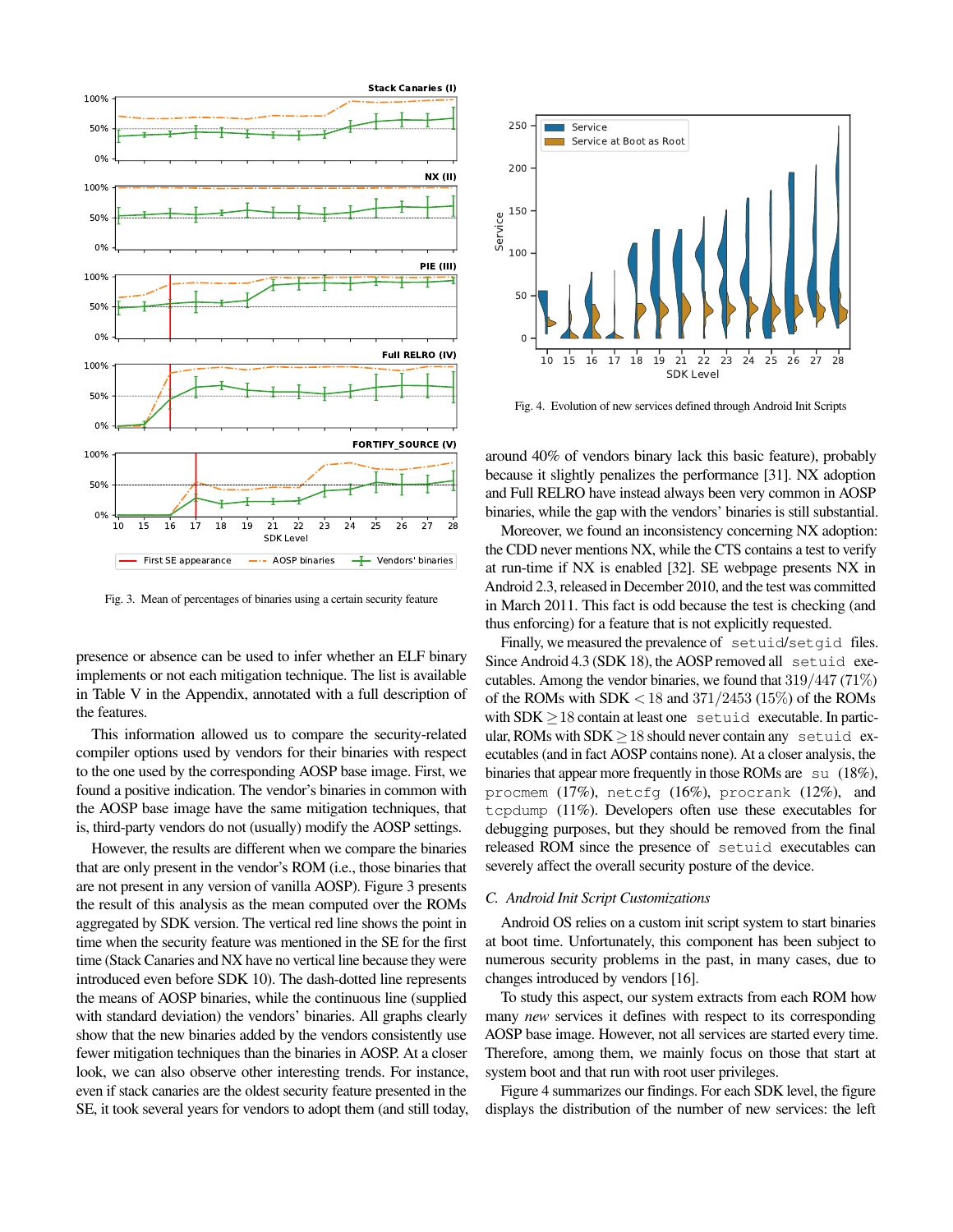

<span id="page-9-0"></span>Fig. 3. Mean of percentages of binaries using a certain security feature

presence or absence can be used to infer whether an ELF binary implements or not each mitigation technique. The list is available in Table [V](#page-15-1) in the Appendix, annotated with a full description of the features.

This information allowed us to compare the security-related compiler options used by vendors for their binaries with respect to the one used by the corresponding AOSP base image. First, we found a positive indication. The vendor's binaries in common with the AOSP base image have the same mitigation techniques, that is, third-party vendors do not (usually) modify the AOSP settings.

However, the results are different when we compare the binaries that are only present in the vendor's ROM (i.e., those binaries that are not present in any version of vanilla AOSP). Figure [3](#page-9-0) presents the result of this analysis as the mean computed over the ROMs aggregated by SDK version. The vertical red line shows the point in time when the security feature was mentioned in the SE for the first time (Stack Canaries and NX have no vertical line because they were introduced even before SDK 10). The dash-dotted line represents the means of AOSP binaries, while the continuous line (supplied with standard deviation) the vendors' binaries. All graphs clearly show that the new binaries added by the vendors consistently use fewer mitigation techniques than the binaries in AOSP. At a closer look, we can also observe other interesting trends. For instance, even if stack canaries are the oldest security feature presented in the SE, it took several years for vendors to adopt them (and still today,



<span id="page-9-1"></span>Fig. 4. Evolution of new services defined through Android Init Scripts

around 40% of vendors binary lack this basic feature), probably because it slightly penalizes the performance [\[31\]](#page-13-30). NX adoption and Full RELRO have instead always been very common in AOSP binaries, while the gap with the vendors' binaries is still substantial.

Moreover, we found an inconsistency concerning NX adoption: the CDD never mentions NX, while the CTS contains a test to verify at run-time if NX is enabled [\[32\]](#page-13-31). SE webpage presents NX in Android 2.3, released in December 2010, and the test was committed in March 2011. This fact is odd because the test is checking (and thus enforcing) for a feature that is not explicitly requested.

Finally, we measured the prevalence of setuid/setgid files. Since Android 4.3 (SDK 18), the AOSP removed all setuid executables. Among the vendor binaries, we found that  $319/447$  (71%) of the ROMs with SDK  $<$  18 and 371/2453 (15%) of the ROMs with  $SDK \geq 18$  contain at least one setuid executable. In particular, ROMs with  $SDK \geq 18$  should never contain any setuid executables (and in fact AOSP contains none). At a closer analysis, the binaries that appear more frequently in those ROMs are su (18%), procmem (17%), netcfg (16%), procrank (12%), and tcpdump (11%). Developers often use these executables for debugging purposes, but they should be removed from the final released ROM since the presence of setuid executables can severely affect the overall security posture of the device.

#### *C. Android Init Script Customizations*

Android OS relies on a custom init script system to start binaries at boot time. Unfortunately, this component has been subject to numerous security problems in the past, in many cases, due to changes introduced by vendors [\[16\]](#page-13-15).

To study this aspect, our system extracts from each ROM how many *new* services it defines with respect to its corresponding AOSP base image. However, not all services are started every time. Therefore, among them, we mainly focus on those that start at system boot and that run with root user privileges.

Figure [4](#page-9-1) summarizes our findings. For each SDK level, the figure displays the distribution of the number of new services: the left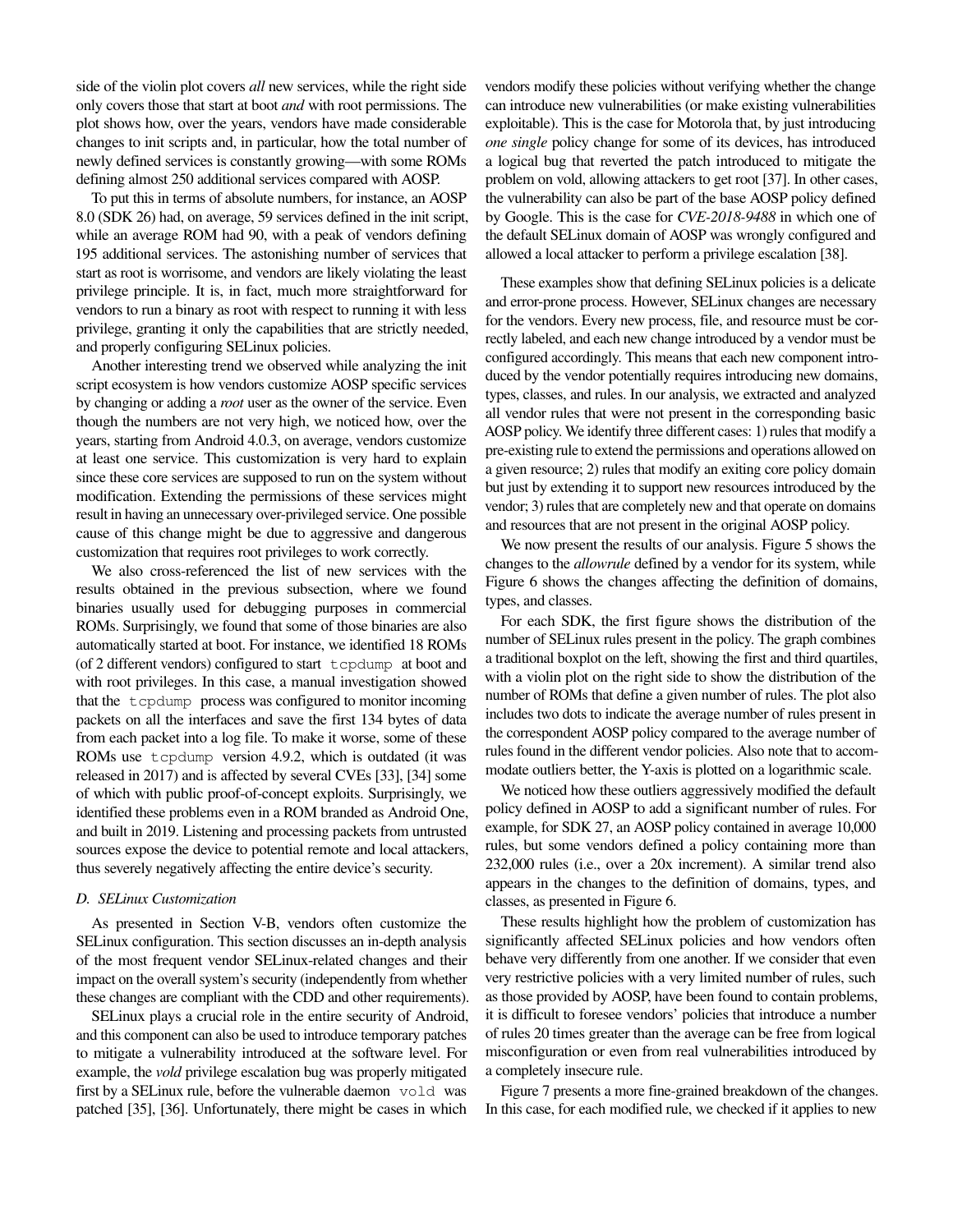side of the violin plot covers *all* new services, while the right side only covers those that start at boot *and* with root permissions. The plot shows how, over the years, vendors have made considerable changes to init scripts and, in particular, how the total number of newly defined services is constantly growing—with some ROMs defining almost 250 additional services compared with AOSP.

To put this in terms of absolute numbers, for instance, an AOSP 8.0 (SDK 26) had, on average, 59 services defined in the init script, while an average ROM had 90, with a peak of vendors defining 195 additional services. The astonishing number of services that start as root is worrisome, and vendors are likely violating the least privilege principle. It is, in fact, much more straightforward for vendors to run a binary as root with respect to running it with less privilege, granting it only the capabilities that are strictly needed, and properly configuring SELinux policies.

Another interesting trend we observed while analyzing the init script ecosystem is how vendors customize AOSP specific services by changing or adding a *root* user as the owner of the service. Even though the numbers are not very high, we noticed how, over the years, starting from Android 4.0.3, on average, vendors customize at least one service. This customization is very hard to explain since these core services are supposed to run on the system without modification. Extending the permissions of these services might result in having an unnecessary over-privileged service. One possible cause of this change might be due to aggressive and dangerous customization that requires root privileges to work correctly.

We also cross-referenced the list of new services with the results obtained in the previous subsection, where we found binaries usually used for debugging purposes in commercial ROMs. Surprisingly, we found that some of those binaries are also automatically started at boot. For instance, we identified 18 ROMs (of 2 different vendors) configured to start tcpdump at boot and with root privileges. In this case, a manual investigation showed that the tcpdump process was configured to monitor incoming packets on all the interfaces and save the first 134 bytes of data from each packet into a log file. To make it worse, some of these ROMs use tcpdump version 4.9.2, which is outdated (it was released in 2017) and is affected by several CVEs [\[33\]](#page-13-32), [\[34\]](#page-13-33) some of which with public proof-of-concept exploits. Surprisingly, we identified these problems even in a ROM branded as Android One, and built in 2019. Listening and processing packets from untrusted sources expose the device to potential remote and local attackers, thus severely negatively affecting the entire device's security.

# *D. SELinux Customization*

As presented in Section [V-B,](#page-6-3) vendors often customize the SELinux configuration. This section discusses an in-depth analysis of the most frequent vendor SELinux-related changes and their impact on the overall system's security (independently from whether these changes are compliant with the CDD and other requirements).

SELinux plays a crucial role in the entire security of Android, and this component can also be used to introduce temporary patches to mitigate a vulnerability introduced at the software level. For example, the *vold* privilege escalation bug was properly mitigated first by a SELinux rule, before the vulnerable daemon vold was patched [\[35\]](#page-13-34), [\[36\]](#page-13-35). Unfortunately, there might be cases in which

vendors modify these policies without verifying whether the change can introduce new vulnerabilities (or make existing vulnerabilities exploitable). This is the case for Motorola that, by just introducing *one single* policy change for some of its devices, has introduced a logical bug that reverted the patch introduced to mitigate the problem on vold, allowing attackers to get root [\[37\]](#page-13-36). In other cases, the vulnerability can also be part of the base AOSP policy defined by Google. This is the case for *CVE-2018-9488* in which one of the default SELinux domain of AOSP was wrongly configured and allowed a local attacker to perform a privilege escalation [\[38\]](#page-13-37).

These examples show that defining SELinux policies is a delicate and error-prone process. However, SELinux changes are necessary for the vendors. Every new process, file, and resource must be correctly labeled, and each new change introduced by a vendor must be configured accordingly. This means that each new component introduced by the vendor potentially requires introducing new domains, types, classes, and rules. In our analysis, we extracted and analyzed all vendor rules that were not present in the corresponding basic AOSP policy. We identify three different cases: 1) rules that modify a pre-existing rule to extend the permissions and operations allowed on a given resource; 2) rules that modify an exiting core policy domain but just by extending it to support new resources introduced by the vendor; 3) rules that are completely new and that operate on domains and resources that are not present in the original AOSP policy.

We now present the results of our analysis. Figure [5](#page-11-0) shows the changes to the *allowrule* defined by a vendor for its system, while Figure [6](#page-11-1) shows the changes affecting the definition of domains, types, and classes.

For each SDK, the first figure shows the distribution of the number of SELinux rules present in the policy. The graph combines a traditional boxplot on the left, showing the first and third quartiles, with a violin plot on the right side to show the distribution of the number of ROMs that define a given number of rules. The plot also includes two dots to indicate the average number of rules present in the correspondent AOSP policy compared to the average number of rules found in the different vendor policies. Also note that to accommodate outliers better, the Y-axis is plotted on a logarithmic scale.

We noticed how these outliers aggressively modified the default policy defined in AOSP to add a significant number of rules. For example, for SDK 27, an AOSP policy contained in average 10,000 rules, but some vendors defined a policy containing more than 232,000 rules (i.e., over a 20x increment). A similar trend also appears in the changes to the definition of domains, types, and classes, as presented in Figure [6.](#page-11-1)

These results highlight how the problem of customization has significantly affected SELinux policies and how vendors often behave very differently from one another. If we consider that even very restrictive policies with a very limited number of rules, such as those provided by AOSP, have been found to contain problems, it is difficult to foresee vendors' policies that introduce a number of rules 20 times greater than the average can be free from logical misconfiguration or even from real vulnerabilities introduced by a completely insecure rule.

Figure [7](#page-11-2) presents a more fine-grained breakdown of the changes. In this case, for each modified rule, we checked if it applies to new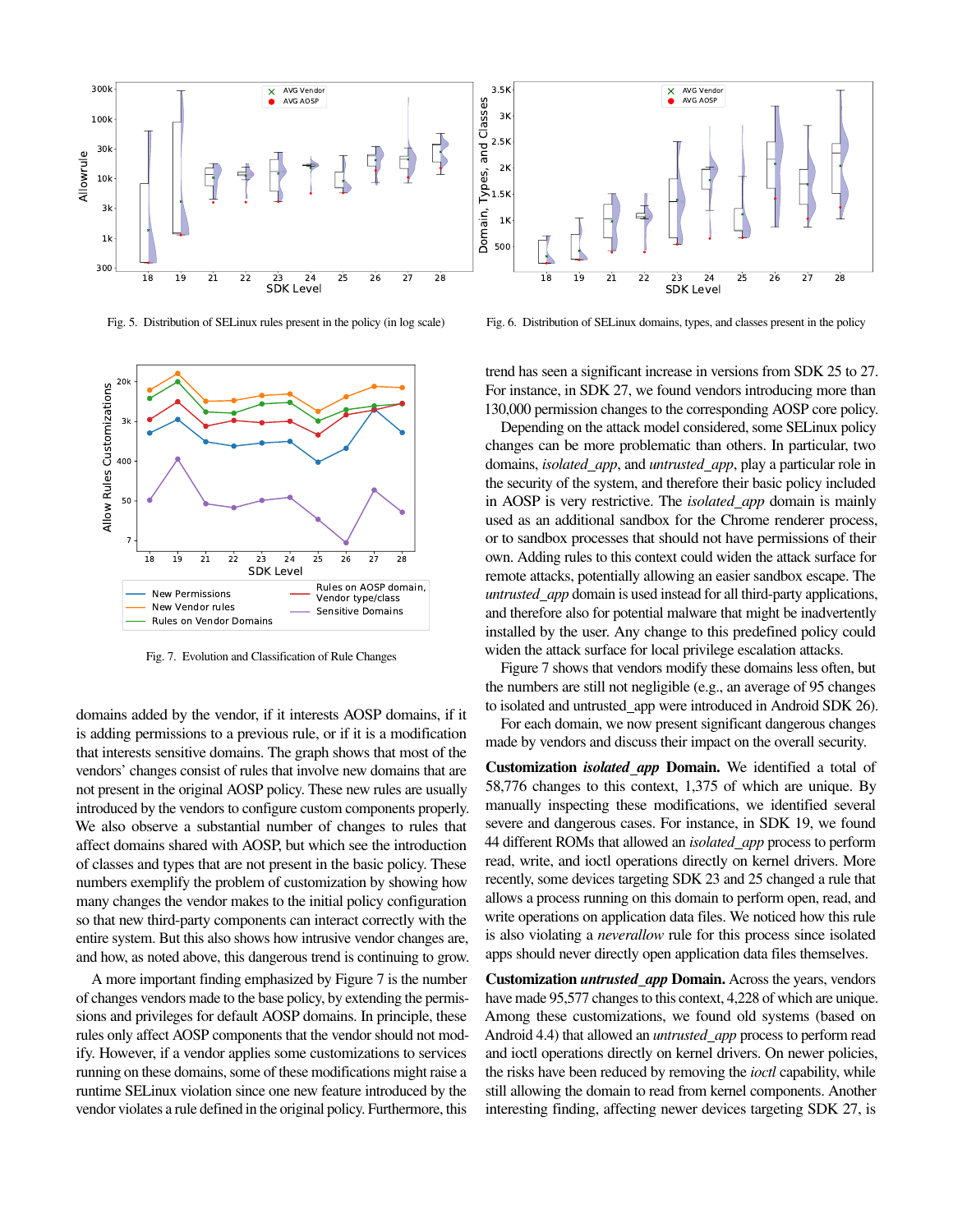

<span id="page-11-0"></span>Fig. 5. Distribution of SELinux rules present in the policy (in log scale)



<span id="page-11-2"></span>Fig. 7. Evolution and Classification of Rule Changes

domains added by the vendor, if it interests AOSP domains, if it is adding permissions to a previous rule, or if it is a modification that interests sensitive domains. The graph shows that most of the vendors' changes consist of rules that involve new domains that are not present in the original AOSP policy. These new rules are usually introduced by the vendors to configure custom components properly. We also observe a substantial number of changes to rules that affect domains shared with AOSP, but which see the introduction of classes and types that are not present in the basic policy. These numbers exemplify the problem of customization by showing how many changes the vendor makes to the initial policy configuration so that new third-party components can interact correctly with the entire system. But this also shows how intrusive vendor changes are, and how, as noted above, this dangerous trend is continuing to grow.

A more important finding emphasized by Figure [7](#page-11-2) is the number of changes vendors made to the base policy, by extending the permissions and privileges for default AOSP domains. In principle, these rules only affect AOSP components that the vendor should not modify. However, if a vendor applies some customizations to services running on these domains, some of these modifications might raise a runtime SELinux violation since one new feature introduced by the vendor violates a rule defined in the original policy. Furthermore, this

<span id="page-11-1"></span>Fig. 6. Distribution of SELinux domains, types, and classes present in the policy

trend has seen a significant increase in versions from SDK 25 to 27. For instance, in SDK 27, we found vendors introducing more than 130,000 permission changes to the corresponding AOSP core policy.

Depending on the attack model considered, some SELinux policy changes can be more problematic than others. In particular, two domains, *isolated app*, and *untrusted app*, play a particular role in the security of the system, and therefore their basic policy included in AOSP is very restrictive. The *isolated app* domain is mainly used as an additional sandbox for the Chrome renderer process, or to sandbox processes that should not have permissions of their own. Adding rules to this context could widen the attack surface for remote attacks, potentially allowing an easier sandbox escape. The *untrusted app* domain is used instead for all third-party applications, and therefore also for potential malware that might be inadvertently installed by the user. Any change to this predefined policy could widen the attack surface for local privilege escalation attacks.

Figure [7](#page-11-2) shows that vendors modify these domains less often, but the numbers are still not negligible (e.g., an average of 95 changes to isolated and untrusted\_app were introduced in Android SDK 26).

For each domain, we now present significant dangerous changes made by vendors and discuss their impact on the overall security.

Customization *isolated app* Domain. We identified a total of 58,776 changes to this context, 1,375 of which are unique. By manually inspecting these modifications, we identified several severe and dangerous cases. For instance, in SDK 19, we found 44 different ROMs that allowed an *isolated app* process to perform read, write, and ioctl operations directly on kernel drivers. More recently, some devices targeting SDK 23 and 25 changed a rule that allows a process running on this domain to perform open, read, and write operations on application data files. We noticed how this rule is also violating a *neverallow* rule for this process since isolated apps should never directly open application data files themselves.

Customization *untrusted app* Domain. Across the years, vendors have made 95,577 changes to this context, 4,228 of which are unique. Among these customizations, we found old systems (based on Android 4.4) that allowed an *untrusted app* process to perform read and ioctl operations directly on kernel drivers. On newer policies, the risks have been reduced by removing the *ioctl* capability, while still allowing the domain to read from kernel components. Another interesting finding, affecting newer devices targeting SDK 27, is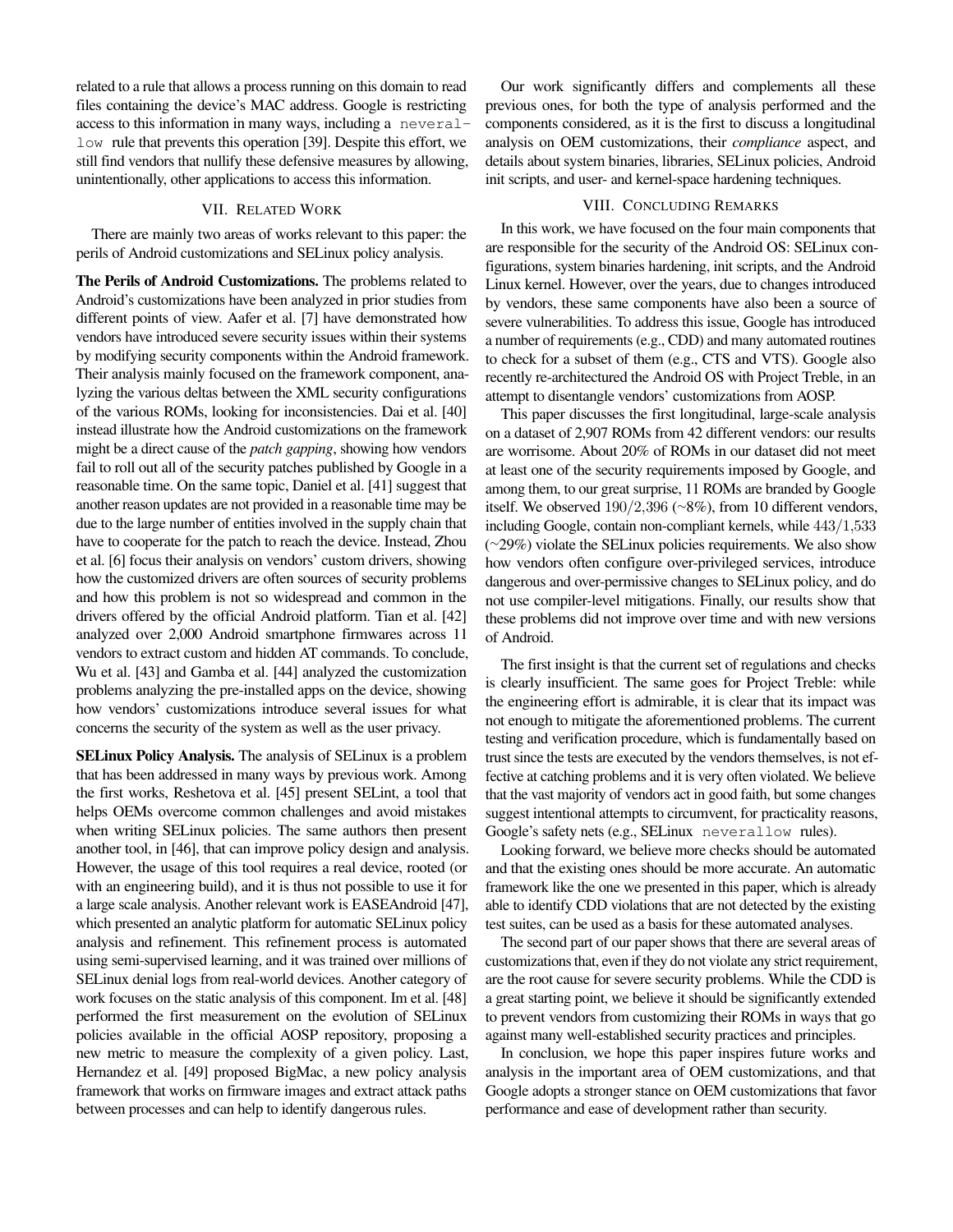related to a rule that allows a process running on this domain to read files containing the device's MAC address. Google is restricting access to this information in many ways, including a neverallow rule that prevents this operation [\[39\]](#page-13-38). Despite this effort, we still find vendors that nullify these defensive measures by allowing, unintentionally, other applications to access this information.

# VII. RELATED WORK

There are mainly two areas of works relevant to this paper: the perils of Android customizations and SELinux policy analysis.

The Perils of Android Customizations. The problems related to Android's customizations have been analyzed in prior studies from different points of view. Aafer et al. [\[7\]](#page-13-6) have demonstrated how vendors have introduced severe security issues within their systems by modifying security components within the Android framework. Their analysis mainly focused on the framework component, analyzing the various deltas between the XML security configurations of the various ROMs, looking for inconsistencies. Dai et al. [\[40\]](#page-13-39) instead illustrate how the Android customizations on the framework might be a direct cause of the *patch gapping*, showing how vendors fail to roll out all of the security patches published by Google in a reasonable time. On the same topic, Daniel et al. [\[41\]](#page-13-40) suggest that another reason updates are not provided in a reasonable time may be due to the large number of entities involved in the supply chain that have to cooperate for the patch to reach the device. Instead, Zhou et al. [\[6\]](#page-13-5) focus their analysis on vendors' custom drivers, showing how the customized drivers are often sources of security problems and how this problem is not so widespread and common in the drivers offered by the official Android platform. Tian et al. [\[42\]](#page-13-41) analyzed over 2,000 Android smartphone firmwares across 11 vendors to extract custom and hidden AT commands. To conclude, Wu et al. [\[43\]](#page-13-42) and Gamba et al. [\[44\]](#page-13-43) analyzed the customization problems analyzing the pre-installed apps on the device, showing how vendors' customizations introduce several issues for what concerns the security of the system as well as the user privacy.

SELinux Policy Analysis. The analysis of SELinux is a problem that has been addressed in many ways by previous work. Among the first works, Reshetova et al. [\[45\]](#page-13-44) present SELint, a tool that helps OEMs overcome common challenges and avoid mistakes when writing SELinux policies. The same authors then present another tool, in [\[46\]](#page-13-45), that can improve policy design and analysis. However, the usage of this tool requires a real device, rooted (or with an engineering build), and it is thus not possible to use it for a large scale analysis. Another relevant work is EASEAndroid [\[47\]](#page-13-46), which presented an analytic platform for automatic SELinux policy analysis and refinement. This refinement process is automated using semi-supervised learning, and it was trained over millions of SELinux denial logs from real-world devices. Another category of work focuses on the static analysis of this component. Im et al. [\[48\]](#page-13-47) performed the first measurement on the evolution of SELinux policies available in the official AOSP repository, proposing a new metric to measure the complexity of a given policy. Last, Hernandez et al. [\[49\]](#page-13-48) proposed BigMac, a new policy analysis framework that works on firmware images and extract attack paths between processes and can help to identify dangerous rules.

Our work significantly differs and complements all these previous ones, for both the type of analysis performed and the components considered, as it is the first to discuss a longitudinal analysis on OEM customizations, their *compliance* aspect, and details about system binaries, libraries, SELinux policies, Android init scripts, and user- and kernel-space hardening techniques.

# VIII. CONCLUDING REMARKS

In this work, we have focused on the four main components that are responsible for the security of the Android OS: SELinux configurations, system binaries hardening, init scripts, and the Android Linux kernel. However, over the years, due to changes introduced by vendors, these same components have also been a source of severe vulnerabilities. To address this issue, Google has introduced a number of requirements (e.g., CDD) and many automated routines to check for a subset of them (e.g., CTS and VTS). Google also recently re-architectured the Android OS with Project Treble, in an attempt to disentangle vendors' customizations from AOSP.

This paper discusses the first longitudinal, large-scale analysis on a dataset of 2,907 ROMs from 42 different vendors: our results are worrisome. About 20% of ROMs in our dataset did not meet at least one of the security requirements imposed by Google, and among them, to our great surprise, 11 ROMs are branded by Google itself. We observed 190/2,396 ([∼](~)8%), from 10 different vendors, including Google, contain non-compliant kernels, while 443/1,533 ([∼](~)29%) violate the SELinux policies requirements. We also show how vendors often configure over-privileged services, introduce dangerous and over-permissive changes to SELinux policy, and do not use compiler-level mitigations. Finally, our results show that these problems did not improve over time and with new versions of Android.

The first insight is that the current set of regulations and checks is clearly insufficient. The same goes for Project Treble: while the engineering effort is admirable, it is clear that its impact was not enough to mitigate the aforementioned problems. The current testing and verification procedure, which is fundamentally based on trust since the tests are executed by the vendors themselves, is not effective at catching problems and it is very often violated. We believe that the vast majority of vendors act in good faith, but some changes suggest intentional attempts to circumvent, for practicality reasons, Google's safety nets (e.g., SELinux neverallow rules).

Looking forward, we believe more checks should be automated and that the existing ones should be more accurate. An automatic framework like the one we presented in this paper, which is already able to identify CDD violations that are not detected by the existing test suites, can be used as a basis for these automated analyses.

The second part of our paper shows that there are several areas of customizations that, even if they do not violate any strict requirement, are the root cause for severe security problems. While the CDD is a great starting point, we believe it should be significantly extended to prevent vendors from customizing their ROMs in ways that go against many well-established security practices and principles.

In conclusion, we hope this paper inspires future works and analysis in the important area of OEM customizations, and that Google adopts a stronger stance on OEM customizations that favor performance and ease of development rather than security.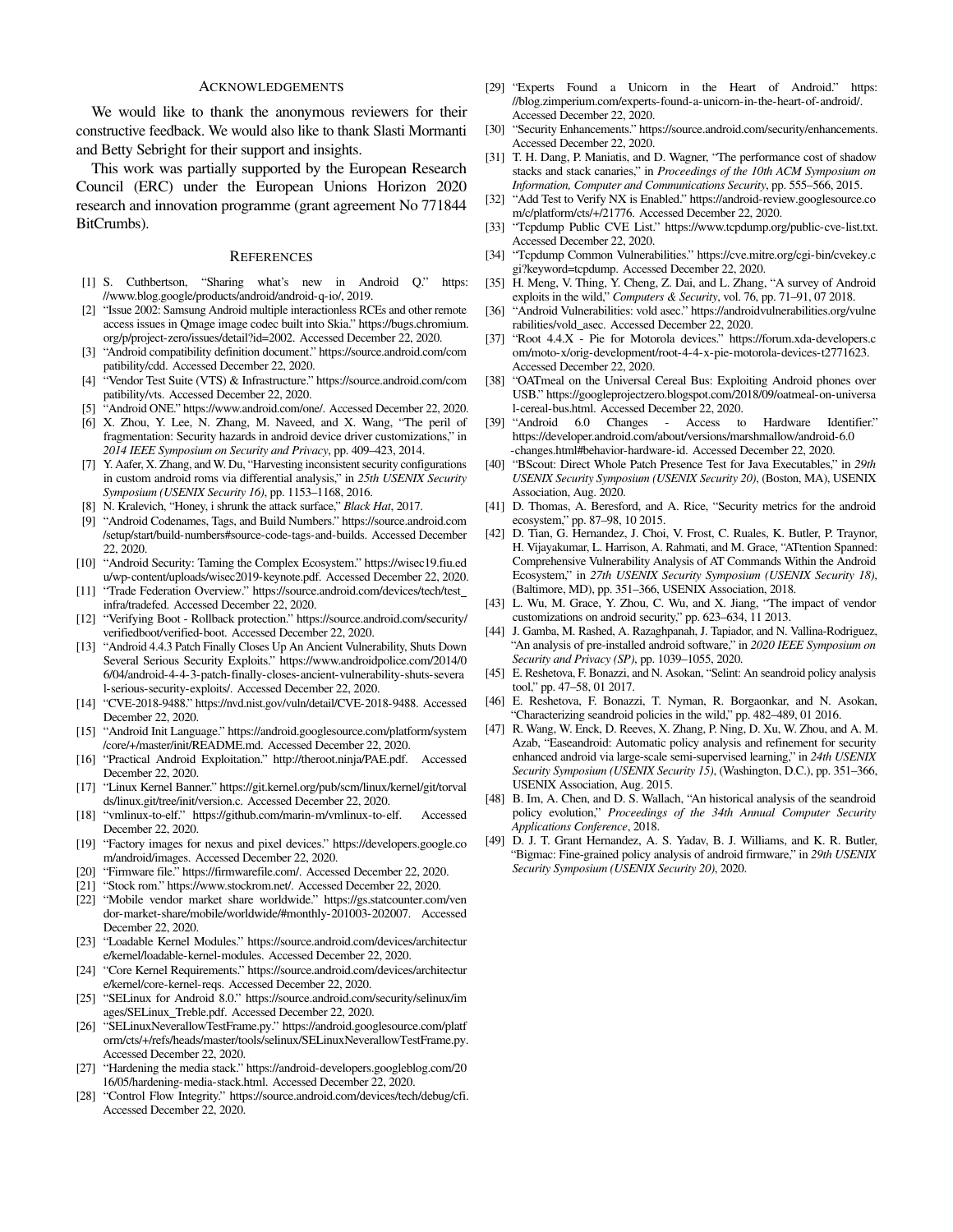#### ACKNOWLEDGEMENTS

We would like to thank the anonymous reviewers for their constructive feedback. We would also like to thank Slasti Mormanti and Betty Sebright for their support and insights.

This work was partially supported by the European Research Council (ERC) under the European Unions Horizon 2020 research and innovation programme (grant agreement No 771844 BitCrumbs).

#### **REFERENCES**

- <span id="page-13-0"></span>[1] S. Cuthbertson, "Sharing what's new in Android Q." [https:](https://www.blog.google/products/android/android-q-io/) [//www.blog.google/products/android/android-q-io/,](https://www.blog.google/products/android/android-q-io/) 2019.
- <span id="page-13-1"></span>[2] "Issue 2002: Samsung Android multiple interactionless RCEs and other remote access issues in Qmage image codec built into Skia." [https://bugs.chromium.](https://bugs.chromium.org/p/project-zero/issues/detail?id=2002) [org/p/project-zero/issues/detail?id=2002.](https://bugs.chromium.org/p/project-zero/issues/detail?id=2002) Accessed December 22, 2020.
- <span id="page-13-2"></span>[3] "Android compatibility definition document." [https://source.android.com/com](https://source.android.com/compatibility/cdd) [patibility/cdd.](https://source.android.com/compatibility/cdd) Accessed December 22, 2020.
- <span id="page-13-3"></span>[4] "Vendor Test Suite (VTS) & Infrastructure." [https://source.android.com/com](https://source.android.com/compatibility/vts) [patibility/vts.](https://source.android.com/compatibility/vts) Accessed December 22, 2020.
- <span id="page-13-4"></span>"Android ONE." [https://www.android.com/one/.](https://www.android.com/one/) Accessed December 22, 2020.
- <span id="page-13-5"></span>[6] X. Zhou, Y. Lee, N. Zhang, M. Naveed, and X. Wang, "The peril of fragmentation: Security hazards in android device driver customizations," in *2014 IEEE Symposium on Security and Privacy*, pp. 409–423, 2014.
- <span id="page-13-6"></span>[7] Y. Aafer, X. Zhang, and W. Du, "Harvesting inconsistent security configurations in custom android roms via differential analysis," in *25th USENIX Security Symposium (USENIX Security 16)*, pp. 1153–1168, 2016.
- <span id="page-13-7"></span>[8] N. Kralevich, "Honey, i shrunk the attack surface," *Black Hat*, 2017.
- <span id="page-13-8"></span>[9] "Android Codenames, Tags, and Build Numbers." [https://source.android.com](https://source.android.com/setup/start/build-numbers#source-code-tags-and-builds) [/setup/start/build-numbers#source-code-tags-and-builds.](https://source.android.com/setup/start/build-numbers#source-code-tags-and-builds) Accessed December 22, 2020.
- <span id="page-13-9"></span>[10] "Android Security: Taming the Complex Ecosystem." [https://wisec19.fiu.ed](https://wisec19.fiu.edu/wp-content/uploads/wisec2019-keynote.pdf) [u/wp-content/uploads/wisec2019-keynote.pdf.](https://wisec19.fiu.edu/wp-content/uploads/wisec2019-keynote.pdf) Accessed December 22, 2020.
- <span id="page-13-10"></span>[11] "Trade Federation Overview." [https://source.android.com/devices/tech/test](https://source.android.com/devices/tech/test_infra/tradefed)\_ [infra/tradefed.](https://source.android.com/devices/tech/test_infra/tradefed) Accessed December 22, 2020.
- <span id="page-13-11"></span>[12] "Verifying Boot - Rollback protection." [https://source.android.com/security/](https://source.android.com/security/verifiedboot/verified-boot) [verifiedboot/verified-boot.](https://source.android.com/security/verifiedboot/verified-boot) Accessed December 22, 2020.
- <span id="page-13-12"></span>[13] "Android 4.4.3 Patch Finally Closes Up An Ancient Vulnerability, Shuts Down Several Serious Security Exploits." [https://www.androidpolice.com/2014/0](https://www.androidpolice.com/2014/06/04/android-4-4-3-patch-finally-closes-ancient-vulnerability-shuts-several-serious-security-exploits/) [6/04/android-4-4-3-patch-finally-closes-ancient-vulnerability-shuts-severa](https://www.androidpolice.com/2014/06/04/android-4-4-3-patch-finally-closes-ancient-vulnerability-shuts-several-serious-security-exploits/) [l-serious-security-exploits/.](https://www.androidpolice.com/2014/06/04/android-4-4-3-patch-finally-closes-ancient-vulnerability-shuts-several-serious-security-exploits/) Accessed December 22, 2020.
- <span id="page-13-13"></span>[14] "CVE-2018-9488." [https://nvd.nist.gov/vuln/detail/CVE-2018-9488.](https://nvd.nist.gov/vuln/detail/CVE-2018-9488) Accessed December 22, 2020.
- <span id="page-13-14"></span>[15] "Android Init Language." [https://android.googlesource.com/platform/system](https://android.googlesource.com/platform/system/core/+/master/init/README.md) [/core/+/master/init/README.md.](https://android.googlesource.com/platform/system/core/+/master/init/README.md) Accessed December 22, 2020.
- <span id="page-13-15"></span>[16] "Practical Android Exploitation." [http://theroot.ninja/PAE.pdf.](http://theroot.ninja/PAE.pdf) Accessed December 22, 2020.
- <span id="page-13-16"></span>[17] "Linux Kernel Banner." [https://git.kernel.org/pub/scm/linux/kernel/git/torval](https://git.kernel.org/pub/scm/linux/kernel/git/torvalds/linux.git/tree/init/version.c) [ds/linux.git/tree/init/version.c.](https://git.kernel.org/pub/scm/linux/kernel/git/torvalds/linux.git/tree/init/version.c) Accessed December 22, 2020.
- <span id="page-13-17"></span>[18] "vmlinux-to-elf." [https://github.com/marin-m/vmlinux-to-elf.](https://github.com/marin-m/vmlinux-to-elf) Accessed December 22, 2020.
- <span id="page-13-18"></span>[19] "Factory images for nexus and pixel devices." [https://developers.google.co](https://developers.google.com/android/images) [m/android/images.](https://developers.google.com/android/images) Accessed December 22, 2020.
- <span id="page-13-19"></span>[20] "Firmware file." [https://firmwarefile.com/.](https://firmwarefile.com/) Accessed December 22, 2020.
- <span id="page-13-20"></span>[21] "Stock rom." [https://www.stockrom.net/.](https://www.stockrom.net/) Accessed December 22, 2020.
- <span id="page-13-21"></span>[22] "Mobile vendor market share worldwide." [https://gs.statcounter.com/ven](https://gs.statcounter.com/vendor-market-share/mobile/worldwide/#monthly-201003-202007) [dor-market-share/mobile/worldwide/#monthly-201003-202007.](https://gs.statcounter.com/vendor-market-share/mobile/worldwide/#monthly-201003-202007) Accessed December 22, 2020.
- <span id="page-13-22"></span>[23] "Loadable Kernel Modules." [https://source.android.com/devices/architectur](https://source.android.com/devices/architecture/kernel/loadable-kernel-modules) [e/kernel/loadable-kernel-modules.](https://source.android.com/devices/architecture/kernel/loadable-kernel-modules) Accessed December 22, 2020.
- <span id="page-13-23"></span>[24] "Core Kernel Requirements." [https://source.android.com/devices/architectur](https://source.android.com/devices/architecture/kernel/core-kernel-reqs) [e/kernel/core-kernel-reqs.](https://source.android.com/devices/architecture/kernel/core-kernel-reqs) Accessed December 22, 2020.
- <span id="page-13-24"></span>[25] "SELinux for Android 8.0." [https://source.android.com/security/selinux/im](https://source.android.com/security/selinux/images/SELinux_Treble.pdf) [ages/SELinux](https://source.android.com/security/selinux/images/SELinux_Treble.pdf) Treble.pdf. Accessed December 22, 2020.
- <span id="page-13-25"></span>[26] "SELinuxNeverallowTestFrame.py." [https://android.googlesource.com/platf](https://android.googlesource.com/platform/cts/+/refs/heads/master/tools/selinux/SELinuxNeverallowTestFrame.py) [orm/cts/+/refs/heads/master/tools/selinux/SELinuxNeverallowTestFrame.py.](https://android.googlesource.com/platform/cts/+/refs/heads/master/tools/selinux/SELinuxNeverallowTestFrame.py) Accessed December 22, 2020.
- <span id="page-13-26"></span>[27] "Hardening the media stack." [https://android-developers.googleblog.com/20](https://android-developers.googleblog.com/2016/05/hardening-media-stack.html) [16/05/hardening-media-stack.html.](https://android-developers.googleblog.com/2016/05/hardening-media-stack.html) Accessed December 22, 2020.
- <span id="page-13-27"></span>[28] "Control Flow Integrity." [https://source.android.com/devices/tech/debug/cfi.](https://source.android.com/devices/tech/debug/cfi) Accessed December 22, 2020.
- <span id="page-13-28"></span>[29] "Experts Found a Unicorn in the Heart of Android." [https:](https://blog.zimperium.com/experts-found-a-unicorn-in-the-heart-of-android/) [//blog.zimperium.com/experts-found-a-unicorn-in-the-heart-of-android/.](https://blog.zimperium.com/experts-found-a-unicorn-in-the-heart-of-android/) Accessed December 22, 2020.
- <span id="page-13-29"></span>[30] "Security Enhancements." [https://source.android.com/security/enhancements.](https://source.android.com/security/enhancements) Accessed December 22, 2020.
- <span id="page-13-30"></span>[31] T. H. Dang, P. Maniatis, and D. Wagner, "The performance cost of shadow stacks and stack canaries," in *Proceedings of the 10th ACM Symposium on Information, Computer and Communications Security*, pp. 555–566, 2015.
- <span id="page-13-31"></span>[32] "Add Test to Verify NX is Enabled." [https://android-review.googlesource.co](https://android-review.googlesource.com/c/platform/cts/+/21776) [m/c/platform/cts/+/21776.](https://android-review.googlesource.com/c/platform/cts/+/21776) Accessed December 22, 2020.
- <span id="page-13-32"></span>[33] "Tcpdump Public CVE List." [https://www.tcpdump.org/public-cve-list.txt.](https://www.tcpdump.org/public-cve-list.txt) Accessed December 22, 2020.
- <span id="page-13-33"></span>[34] "Tcpdump Common Vulnerabilities." [https://cve.mitre.org/cgi-bin/cvekey.c](https://cve.mitre.org/cgi-bin/cvekey.cgi?keyword=tcpdump) [gi?keyword=tcpdump.](https://cve.mitre.org/cgi-bin/cvekey.cgi?keyword=tcpdump) Accessed December 22, 2020.
- <span id="page-13-34"></span>[35] H. Meng, V. Thing, Y. Cheng, Z. Dai, and L. Zhang, "A survey of Android exploits in the wild," *Computers & Security*, vol. 76, pp. 71–91, 07 2018.
- <span id="page-13-35"></span>[36] "Android Vulnerabilities: vold asec." [https://androidvulnerabilities.org/vulne](https://androidvulnerabilities.org/vulnerabilities/vold_asec) [rabilities/vold](https://androidvulnerabilities.org/vulnerabilities/vold_asec) asec. Accessed December 22, 2020.
- <span id="page-13-36"></span>[37] "Root 4.4.X - Pie for Motorola devices." [https://forum.xda-developers.c](https://forum.xda-developers.com/moto-x/orig-development/root-4-4-x-pie-motorola-devices-t2771623) [om/moto-x/orig-development/root-4-4-x-pie-motorola-devices-t2771623.](https://forum.xda-developers.com/moto-x/orig-development/root-4-4-x-pie-motorola-devices-t2771623) Accessed December 22, 2020.
- <span id="page-13-37"></span>[38] "OATmeal on the Universal Cereal Bus: Exploiting Android phones over USB." [https://googleprojectzero.blogspot.com/2018/09/oatmeal-on-universa](https://googleprojectzero.blogspot.com/2018/09/oatmeal-on-universal-cereal-bus.html) [l-cereal-bus.html.](https://googleprojectzero.blogspot.com/2018/09/oatmeal-on-universal-cereal-bus.html) Accessed December 22, 2020.
- <span id="page-13-38"></span>[39] "Android 6.0 Changes - Access to Hardware Identifier." [https://developer.android.com/about/versions/marshmallow/android-6.0](https://developer.android.com/about/versions/marshmallow/android-6.0-changes.html#behavior-hardware-id) [-changes.html#behavior-hardware-id.](https://developer.android.com/about/versions/marshmallow/android-6.0-changes.html#behavior-hardware-id) Accessed December 22, 2020.
- <span id="page-13-39"></span>[40] "BScout: Direct Whole Patch Presence Test for Java Executables," in *29th USENIX Security Symposium (USENIX Security 20)*, (Boston, MA), USENIX Association, Aug. 2020.
- <span id="page-13-40"></span>[41] D. Thomas, A. Beresford, and A. Rice, "Security metrics for the android ecosystem," pp. 87–98, 10 2015.
- <span id="page-13-41"></span>[42] D. Tian, G. Hernandez, J. Choi, V. Frost, C. Ruales, K. Butler, P. Traynor, H. Vijayakumar, L. Harrison, A. Rahmati, and M. Grace, "ATtention Spanned: Comprehensive Vulnerability Analysis of AT Commands Within the Android Ecosystem," in *27th USENIX Security Symposium (USENIX Security 18)*, (Baltimore, MD), pp. 351–366, USENIX Association, 2018.
- <span id="page-13-42"></span>[43] L. Wu, M. Grace, Y. Zhou, C. Wu, and X. Jiang, "The impact of vendor customizations on android security," pp. 623–634, 11 2013.
- <span id="page-13-43"></span>[44] J. Gamba, M. Rashed, A. Razaghpanah, J. Tapiador, and N. Vallina-Rodriguez, "An analysis of pre-installed android software," in *2020 IEEE Symposium on Security and Privacy (SP)*, pp. 1039–1055, 2020.
- <span id="page-13-44"></span>[45] E. Reshetova, F. Bonazzi, and N. Asokan, "Selint: An seandroid policy analysis tool," pp. 47–58, 01 2017.
- <span id="page-13-45"></span>[46] E. Reshetova, F. Bonazzi, T. Nyman, R. Borgaonkar, and N. Asokan, "Characterizing seandroid policies in the wild," pp. 482–489, 01 2016.
- <span id="page-13-46"></span>[47] R. Wang, W. Enck, D. Reeves, X. Zhang, P. Ning, D. Xu, W. Zhou, and A. M. Azab, "Easeandroid: Automatic policy analysis and refinement for security enhanced android via large-scale semi-supervised learning," in *24th USENIX Security Symposium (USENIX Security 15)*, (Washington, D.C.), pp. 351–366, USENIX Association, Aug. 2015.
- <span id="page-13-47"></span>[48] B. Im, A. Chen, and D. S. Wallach, "An historical analysis of the seandroid policy evolution," *Proceedings of the 34th Annual Computer Security Applications Conference*, 2018.
- <span id="page-13-48"></span>[49] D. J. T. Grant Hernandez, A. S. Yadav, B. J. Williams, and K. R. Butler, "Bigmac: Fine-grained policy analysis of android firmware," in *29th USENIX Security Symposium (USENIX Security 20)*, 2020.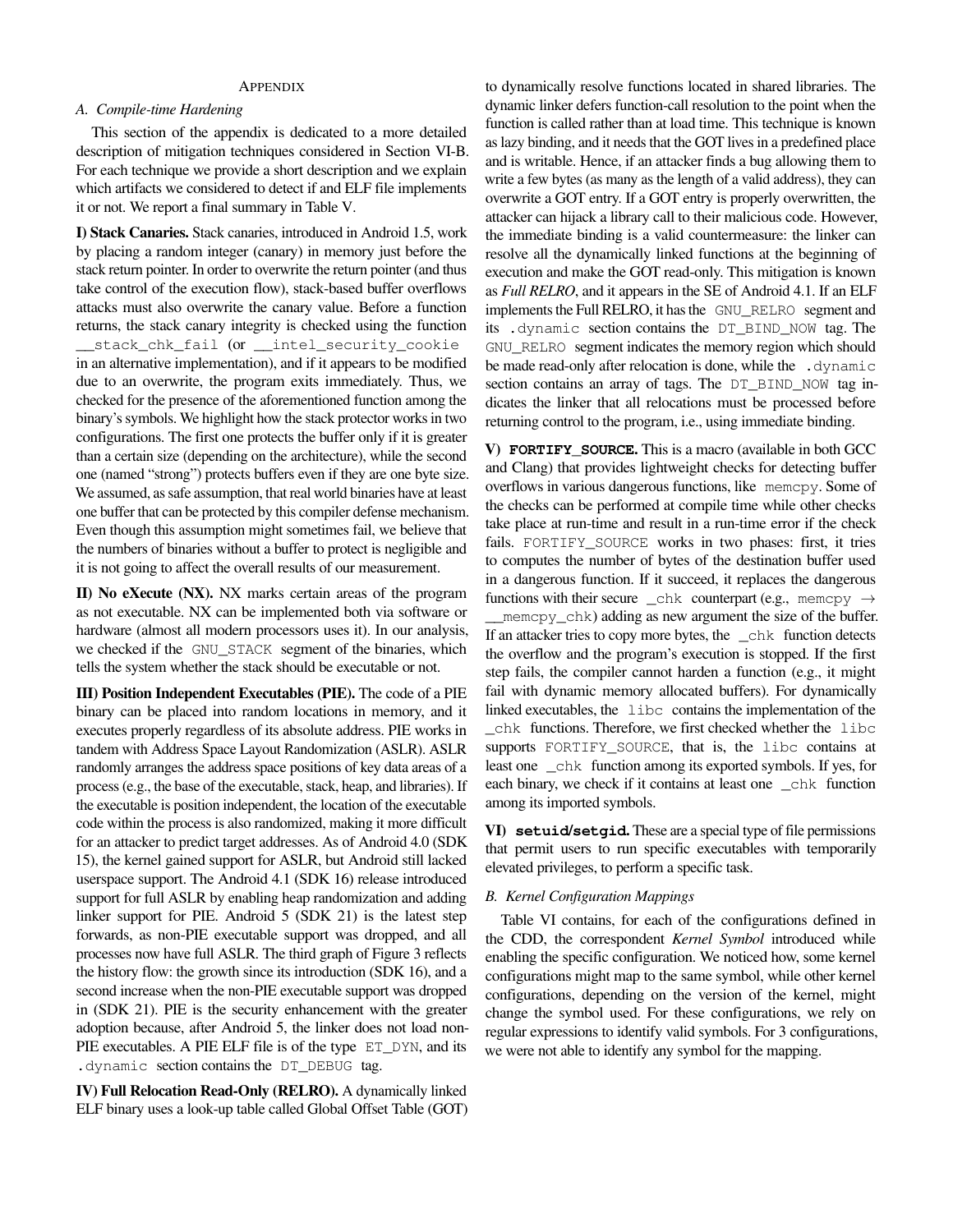# **APPENDIX**

#### *A. Compile-time Hardening*

This section of the appendix is dedicated to a more detailed description of mitigation techniques considered in Section [VI-B.](#page-8-1) For each technique we provide a short description and we explain which artifacts we considered to detect if and ELF file implements it or not. We report a final summary in Table [V.](#page-15-1)

I) Stack Canaries. Stack canaries, introduced in Android 1.5, work by placing a random integer (canary) in memory just before the stack return pointer. In order to overwrite the return pointer (and thus take control of the execution flow), stack-based buffer overflows attacks must also overwrite the canary value. Before a function returns, the stack canary integrity is checked using the function \_\_stack\_chk\_fail (or \_\_intel\_security\_cookie in an alternative implementation), and if it appears to be modified due to an overwrite, the program exits immediately. Thus, we checked for the presence of the aforementioned function among the binary's symbols. We highlight how the stack protector works in two configurations. The first one protects the buffer only if it is greater than a certain size (depending on the architecture), while the second one (named "strong") protects buffers even if they are one byte size. We assumed, as safe assumption, that real world binaries have at least one buffer that can be protected by this compiler defense mechanism. Even though this assumption might sometimes fail, we believe that the numbers of binaries without a buffer to protect is negligible and it is not going to affect the overall results of our measurement.

II) No eXecute (NX). NX marks certain areas of the program as not executable. NX can be implemented both via software or hardware (almost all modern processors uses it). In our analysis, we checked if the GNU\_STACK segment of the binaries, which tells the system whether the stack should be executable or not.

III) Position Independent Executables (PIE). The code of a PIE binary can be placed into random locations in memory, and it executes properly regardless of its absolute address. PIE works in tandem with Address Space Layout Randomization (ASLR). ASLR randomly arranges the address space positions of key data areas of a process (e.g., the base of the executable, stack, heap, and libraries). If the executable is position independent, the location of the executable code within the process is also randomized, making it more difficult for an attacker to predict target addresses. As of Android 4.0 (SDK 15), the kernel gained support for ASLR, but Android still lacked userspace support. The Android 4.1 (SDK 16) release introduced support for full ASLR by enabling heap randomization and adding linker support for PIE. Android 5 (SDK 21) is the latest step forwards, as non-PIE executable support was dropped, and all processes now have full ASLR. The third graph of Figure [3](#page-9-0) reflects the history flow: the growth since its introduction (SDK 16), and a second increase when the non-PIE executable support was dropped in (SDK 21). PIE is the security enhancement with the greater adoption because, after Android 5, the linker does not load non-PIE executables. A PIE ELF file is of the type ET\_DYN, and its .dynamic section contains the DT\_DEBUG tag.

IV) Full Relocation Read-Only (RELRO). A dynamically linked ELF binary uses a look-up table called Global Offset Table (GOT) to dynamically resolve functions located in shared libraries. The dynamic linker defers function-call resolution to the point when the function is called rather than at load time. This technique is known as lazy binding, and it needs that the GOT lives in a predefined place and is writable. Hence, if an attacker finds a bug allowing them to write a few bytes (as many as the length of a valid address), they can overwrite a GOT entry. If a GOT entry is properly overwritten, the attacker can hijack a library call to their malicious code. However, the immediate binding is a valid countermeasure: the linker can resolve all the dynamically linked functions at the beginning of execution and make the GOT read-only. This mitigation is known as *Full RELRO*, and it appears in the SE of Android 4.1. If an ELF implements the Full RELRO, it has the GNU\_RELRO segment and its .dynamic section contains the DT\_BIND\_NOW tag. The GNU\_RELRO segment indicates the memory region which should be made read-only after relocation is done, while the .dynamic section contains an array of tags. The DT\_BIND\_NOW tag indicates the linker that all relocations must be processed before returning control to the program, i.e., using immediate binding.

V) **FORTIFY\_SOURCE**. This is a macro (available in both GCC and Clang) that provides lightweight checks for detecting buffer overflows in various dangerous functions, like memcpy. Some of the checks can be performed at compile time while other checks take place at run-time and result in a run-time error if the check fails. FORTIFY SOURCE works in two phases: first, it tries to computes the number of bytes of the destination buffer used in a dangerous function. If it succeed, it replaces the dangerous functions with their secure \_chk counterpart (e.g., memcpy  $\rightarrow$ \_\_memcpy\_chk) adding as new argument the size of the buffer. If an attacker tries to copy more bytes, the chk function detects the overflow and the program's execution is stopped. If the first step fails, the compiler cannot harden a function (e.g., it might fail with dynamic memory allocated buffers). For dynamically linked executables, the libc contains the implementation of the \_chk functions. Therefore, we first checked whether the libc supports FORTIFY SOURCE, that is, the libc contains at least one \_chk function among its exported symbols. If yes, for each binary, we check if it contains at least one \_chk function among its imported symbols.

VI) **setuid**/**setgid**. These are a special type of file permissions that permit users to run specific executables with temporarily elevated privileges, to perform a specific task.

# *B. Kernel Configuration Mappings*

Table [VI](#page-15-0) contains, for each of the configurations defined in the CDD, the correspondent *Kernel Symbol* introduced while enabling the specific configuration. We noticed how, some kernel configurations might map to the same symbol, while other kernel configurations, depending on the version of the kernel, might change the symbol used. For these configurations, we rely on regular expressions to identify valid symbols. For 3 configurations, we were not able to identify any symbol for the mapping.